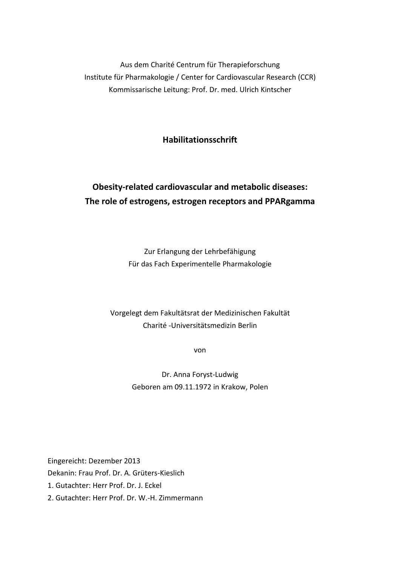Aus dem Charité Centrum für Therapieforschung Institute für Pharmakologie / Center for Cardiovascular Research (CCR) Kommissarische Leitung: Prof. Dr. med. Ulrich Kintscher

**Habilitationsschrift** 

# **Obesity-related cardiovascular and metabolic diseases: The role of estrogens, estrogen receptors and PPARgamma**

Zur Erlangung der Lehrbefähigung Für das Fach Experimentelle Pharmakologie

## Vorgelegt dem Fakultätsrat der Medizinischen Fakultät Charité -Universitätsmedizin Berlin

von

Dr. Anna Foryst-Ludwig Geboren am 09.11.1972 in Krakow, Polen

Eingereicht: Dezember 2013 Dekanin: Frau Prof. Dr. A. Grüters-Kieslich

1. Gutachter: Herr Prof. Dr. J. Eckel

2. Gutachter: Herr Prof. Dr. W.-H. Zimmermann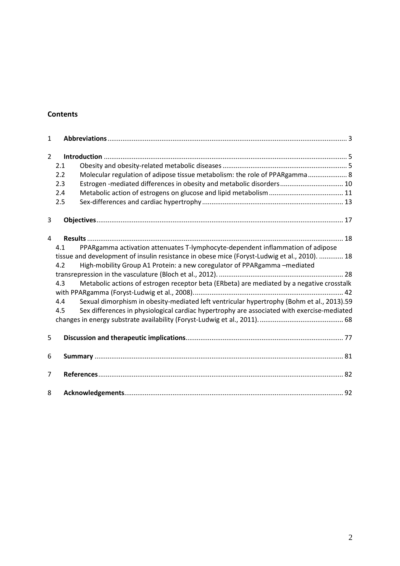### **Contents**

| $\mathbf{1}$                                                                                                                                                                   |     |                                                                                            |  |
|--------------------------------------------------------------------------------------------------------------------------------------------------------------------------------|-----|--------------------------------------------------------------------------------------------|--|
| $\overline{2}$                                                                                                                                                                 |     |                                                                                            |  |
|                                                                                                                                                                                | 2.1 |                                                                                            |  |
|                                                                                                                                                                                | 2.2 | Molecular regulation of adipose tissue metabolism: the role of PPARgamma 8                 |  |
|                                                                                                                                                                                | 2.3 | Estrogen-mediated differences in obesity and metabolic disorders 10                        |  |
|                                                                                                                                                                                | 2.4 |                                                                                            |  |
|                                                                                                                                                                                | 2.5 |                                                                                            |  |
| 3                                                                                                                                                                              |     |                                                                                            |  |
| 4                                                                                                                                                                              |     |                                                                                            |  |
|                                                                                                                                                                                | 4.1 | PPARgamma activation attenuates T-lymphocyte-dependent inflammation of adipose             |  |
| tissue and development of insulin resistance in obese mice (Foryst-Ludwig et al., 2010).  18<br>High-mobility Group A1 Protein: a new coregulator of PPARgamma-mediated<br>4.2 |     |                                                                                            |  |
|                                                                                                                                                                                |     |                                                                                            |  |
|                                                                                                                                                                                | 4.3 | Metabolic actions of estrogen receptor beta (ERbeta) are mediated by a negative crosstalk  |  |
|                                                                                                                                                                                | 4.4 | Sexual dimorphism in obesity-mediated left ventricular hypertrophy (Bohm et al., 2013).59  |  |
|                                                                                                                                                                                | 4.5 | Sex differences in physiological cardiac hypertrophy are associated with exercise-mediated |  |
|                                                                                                                                                                                |     |                                                                                            |  |
|                                                                                                                                                                                |     |                                                                                            |  |
| 5                                                                                                                                                                              |     |                                                                                            |  |
| 6                                                                                                                                                                              |     |                                                                                            |  |
| 7                                                                                                                                                                              |     |                                                                                            |  |
| 8                                                                                                                                                                              |     |                                                                                            |  |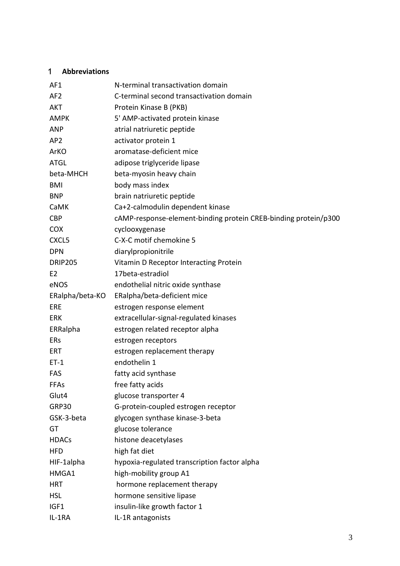## 1 **Abbreviations**

| AF1             | N-terminal transactivation domain                               |
|-----------------|-----------------------------------------------------------------|
| AF <sub>2</sub> | C-terminal second transactivation domain                        |
| <b>AKT</b>      | Protein Kinase B (PKB)                                          |
| <b>AMPK</b>     | 5' AMP-activated protein kinase                                 |
| <b>ANP</b>      | atrial natriuretic peptide                                      |
| AP <sub>2</sub> | activator protein 1                                             |
| ArKO            | aromatase-deficient mice                                        |
| <b>ATGL</b>     | adipose triglyceride lipase                                     |
| beta-MHCH       | beta-myosin heavy chain                                         |
| <b>BMI</b>      | body mass index                                                 |
| <b>BNP</b>      | brain natriuretic peptide                                       |
| CaMK            | Ca+2-calmodulin dependent kinase                                |
| <b>CBP</b>      | cAMP-response-element-binding protein CREB-binding protein/p300 |
| <b>COX</b>      | cyclooxygenase                                                  |
| CXCL5           | C-X-C motif chemokine 5                                         |
| <b>DPN</b>      | diarylpropionitrile                                             |
| <b>DRIP205</b>  | Vitamin D Receptor Interacting Protein                          |
| E <sub>2</sub>  | 17beta-estradiol                                                |
| eNOS            | endothelial nitric oxide synthase                               |
| ERalpha/beta-KO | ERalpha/beta-deficient mice                                     |
| ERE             | estrogen response element                                       |
| <b>ERK</b>      | extracellular-signal-regulated kinases                          |
| ERRalpha        | estrogen related receptor alpha                                 |
| ERs             | estrogen receptors                                              |
| ERT             | estrogen replacement therapy                                    |
| $ET-1$          | endothelin 1                                                    |
| <b>FAS</b>      | fatty acid synthase                                             |
| <b>FFAs</b>     | free fatty acids                                                |
| Glut4           | glucose transporter 4                                           |
| GRP30           | G-protein-coupled estrogen receptor                             |
| GSK-3-beta      | glycogen synthase kinase-3-beta                                 |
| GT              | glucose tolerance                                               |
| <b>HDACs</b>    | histone deacetylases                                            |
| <b>HFD</b>      | high fat diet                                                   |
| HIF-1alpha      | hypoxia-regulated transcription factor alpha                    |
| HMGA1           | high-mobility group A1                                          |
| <b>HRT</b>      | hormone replacement therapy                                     |
| <b>HSL</b>      | hormone sensitive lipase                                        |
| IGF1            | insulin-like growth factor 1                                    |
| IL-1RA          | IL-1R antagonists                                               |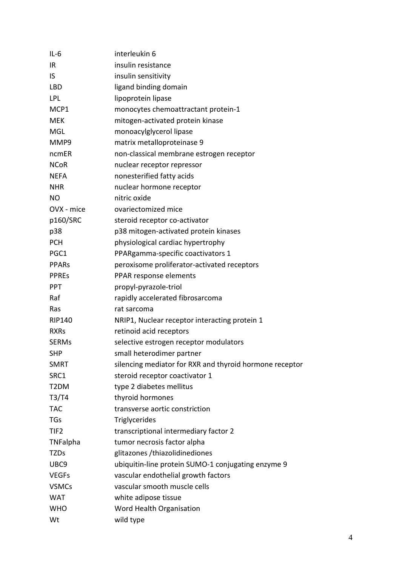| $IL-6$            | interleukin 6                                           |
|-------------------|---------------------------------------------------------|
| IR                | insulin resistance                                      |
| <b>IS</b>         | insulin sensitivity                                     |
| LBD               | ligand binding domain                                   |
| LPL               | lipoprotein lipase                                      |
| MCP1              | monocytes chemoattractant protein-1                     |
| <b>MEK</b>        | mitogen-activated protein kinase                        |
| MGL               | monoacylglycerol lipase                                 |
| MMP9              | matrix metalloproteinase 9                              |
| ncmER             | non-classical membrane estrogen receptor                |
| <b>NCoR</b>       | nuclear receptor repressor                              |
| <b>NEFA</b>       | nonesterified fatty acids                               |
| <b>NHR</b>        | nuclear hormone receptor                                |
| NO                | nitric oxide                                            |
| OVX - mice        | ovariectomized mice                                     |
| p160/SRC          | steroid receptor co-activator                           |
| p38               | p38 mitogen-activated protein kinases                   |
| <b>PCH</b>        | physiological cardiac hypertrophy                       |
| PGC1              | PPARgamma-specific coactivators 1                       |
| <b>PPARS</b>      | peroxisome proliferator-activated receptors             |
| <b>PPREs</b>      | PPAR response elements                                  |
| <b>PPT</b>        | propyl-pyrazole-triol                                   |
| Raf               | rapidly accelerated fibrosarcoma                        |
| Ras               | rat sarcoma                                             |
| <b>RIP140</b>     | NRIP1, Nuclear receptor interacting protein 1           |
| <b>RXRs</b>       | retinoid acid receptors                                 |
| <b>SERMs</b>      | selective estrogen receptor modulators                  |
| <b>SHP</b>        | small heterodimer partner                               |
| <b>SMRT</b>       | silencing mediator for RXR and thyroid hormone receptor |
| SRC1              | steroid receptor coactivator 1                          |
| T <sub>2</sub> DM | type 2 diabetes mellitus                                |
| T3/T4             | thyroid hormones                                        |
| <b>TAC</b>        | transverse aortic constriction                          |
| <b>TGs</b>        | Triglycerides                                           |
| TIF <sub>2</sub>  | transcriptional intermediary factor 2                   |
| TNFalpha          | tumor necrosis factor alpha                             |
| <b>TZDs</b>       | glitazones /thiazolidinediones                          |
| UBC9              | ubiquitin-line protein SUMO-1 conjugating enzyme 9      |
| <b>VEGFs</b>      | vascular endothelial growth factors                     |
| <b>VSMCs</b>      | vascular smooth muscle cells                            |
| <b>WAT</b>        | white adipose tissue                                    |
| <b>WHO</b>        | Word Health Organisation                                |
| Wt                | wild type                                               |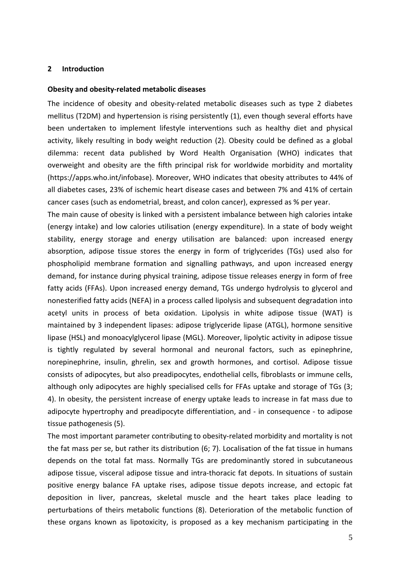#### **2 Introduction**

#### **Obesity and obesity-related metabolic diseases**

The incidence of obesity and obesity-related metabolic diseases such as type 2 diabetes mellitus (T2DM) and hypertension is rising persistently (1), even though several efforts have been undertaken to implement lifestyle interventions such as healthy diet and physical activity, likely resulting in body weight reduction (2). Obesity could be defined as a global dilemma: recent data published by Word Health Organisation (WHO) indicates that overweight and obesity are the fifth principal risk for worldwide morbidity and mortality (https://apps.who.int/infobase). Moreover, WHO indicates that obesity attributes to 44% of all diabetes cases, 23% of ischemic heart disease cases and between 7% and 41% of certain cancer cases (such as endometrial, breast, and colon cancer), expressed as % per year.

The main cause of obesity is linked with a persistent imbalance between high calories intake (energy intake) and low calories utilisation (energy expenditure). In a state of body weight stability, energy storage and energy utilisation are balanced: upon increased energy absorption, adipose tissue stores the energy in form of triglycerides (TGs) used also for phospholipid membrane formation and signalling pathways, and upon increased energy demand, for instance during physical training, adipose tissue releases energy in form of free fatty acids (FFAs). Upon increased energy demand, TGs undergo hydrolysis to glycerol and nonesterified fatty acids (NEFA) in a process called lipolysis and subsequent degradation into acetyl units in process of beta oxidation. Lipolysis in white adipose tissue (WAT) is maintained by 3 independent lipases: adipose triglyceride lipase (ATGL), hormone sensitive lipase (HSL) and monoacylglycerol lipase (MGL). Moreover, lipolytic activity in adipose tissue is tightly regulated by several hormonal and neuronal factors, such as epinephrine, norepinephrine, insulin, ghrelin, sex and growth hormones, and cortisol. Adipose tissue consists of adipocytes, but also preadipocytes, endothelial cells, fibroblasts or immune cells, although only adipocytes are highly specialised cells for FFAs uptake and storage of TGs (3; 4). In obesity, the persistent increase of energy uptake leads to increase in fat mass due to adipocyte hypertrophy and preadipocyte differentiation, and - in consequence - to adipose tissue pathogenesis (5).

The most important parameter contributing to obesity-related morbidity and mortality is not the fat mass per se, but rather its distribution (6; 7). Localisation of the fat tissue in humans depends on the total fat mass. Normally TGs are predominantly stored in subcutaneous adipose tissue, visceral adipose tissue and intra-thoracic fat depots. In situations of sustain positive energy balance FA uptake rises, adipose tissue depots increase, and ectopic fat deposition in liver, pancreas, skeletal muscle and the heart takes place leading to perturbations of theirs metabolic functions (8). Deterioration of the metabolic function of these organs known as lipotoxicity, is proposed as a key mechanism participating in the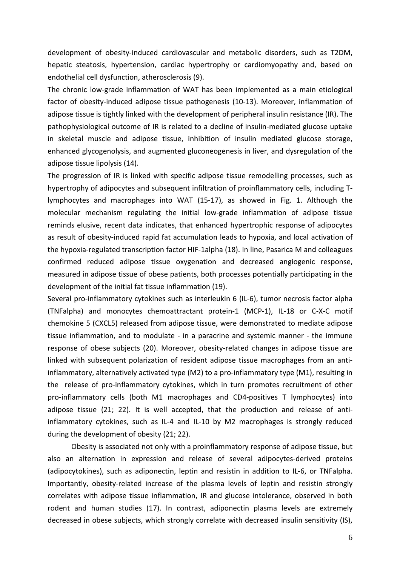development of obesity-induced cardiovascular and metabolic disorders, such as T2DM, hepatic steatosis, hypertension, cardiac hypertrophy or cardiomyopathy and, based on endothelial cell dysfunction, atherosclerosis (9).

The chronic low-grade inflammation of WAT has been implemented as a main etiological factor of obesity-induced adipose tissue pathogenesis (10-13). Moreover, inflammation of adipose tissue is tightly linked with the development of peripheral insulin resistance (IR). The pathophysiological outcome of IR is related to a decline of insulin-mediated glucose uptake in skeletal muscle and adipose tissue, inhibition of insulin mediated glucose storage, enhanced glycogenolysis, and augmented gluconeogenesis in liver, and dysregulation of the adipose tissue lipolysis (14).

The progression of IR is linked with specific adipose tissue remodelling processes, such as hypertrophy of adipocytes and subsequent infiltration of proinflammatory cells, including Tlymphocytes and macrophages into WAT (15-17), as showed in Fig. 1. Although the molecular mechanism regulating the initial low-grade inflammation of adipose tissue reminds elusive, recent data indicates, that enhanced hypertrophic response of adipocytes as result of obesity-induced rapid fat accumulation leads to hypoxia, and local activation of the hypoxia-regulated transcription factor HIF-1alpha (18). In line, Pasarica M and colleagues confirmed reduced adipose tissue oxygenation and decreased angiogenic response, measured in adipose tissue of obese patients, both processes potentially participating in the development of the initial fat tissue inflammation (19).

Several pro-inflammatory cytokines such as interleukin 6 (IL-6), tumor necrosis factor alpha (TNFalpha) and monocytes chemoattractant protein-1 (MCP-1), IL-18 or C-X-C motif chemokine 5 (CXCL5) released from adipose tissue, were demonstrated to mediate adipose tissue inflammation, and to modulate - in a paracrine and systemic manner - the immune response of obese subjects (20). Moreover, obesity-related changes in adipose tissue are linked with subsequent polarization of resident adipose tissue macrophages from an antiinflammatory, alternatively activated type (M2) to a pro-inflammatory type (M1), resulting in the release of pro-inflammatory cytokines, which in turn promotes recruitment of other pro-inflammatory cells (both M1 macrophages and CD4-positives T lymphocytes) into adipose tissue (21; 22). It is well accepted, that the production and release of antiinflammatory cytokines, such as IL-4 and IL-10 by M2 macrophages is strongly reduced during the development of obesity (21; 22).

Obesity is associated not only with a proinflammatory response of adipose tissue, but also an alternation in expression and release of several adipocytes-derived proteins (adipocytokines), such as adiponectin, leptin and resistin in addition to IL-6, or TNFalpha. Importantly, obesity-related increase of the plasma levels of leptin and resistin strongly correlates with adipose tissue inflammation, IR and glucose intolerance, observed in both rodent and human studies (17). In contrast, adiponectin plasma levels are extremely decreased in obese subjects, which strongly correlate with decreased insulin sensitivity (IS),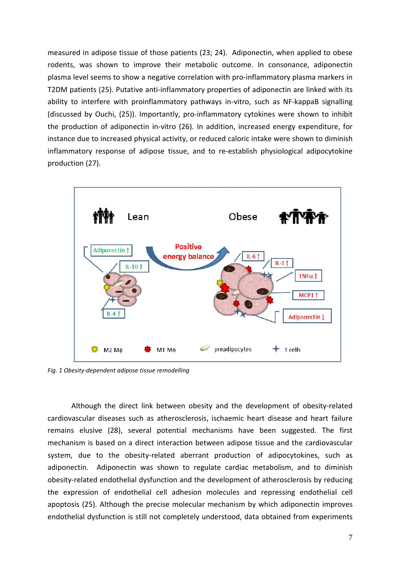measured in adipose tissue of those patients (23; 24). Adiponectin, when applied to obese rodents, was shown to improve their metabolic outcome. In consonance, adiponectin plasma level seems to show a negative correlation with pro-inflammatory plasma markers in T2DM patients (25). Putative anti-inflammatory properties of adiponectin are linked with its ability to interfere with proinflammatory pathways in-vitro, such as NF-kappaB signalling (discussed by Ouchi, (25)). Importantly, pro-inflammatory cytokines were shown to inhibit the production of adiponectin in-vitro (26). In addition, increased energy expenditure, for instance due to increased physical activity, or reduced caloric intake were shown to diminish inflammatory response of adipose tissue, and to re-establish physiological adipocytokine production (27).



*Fig. 1 Obesity-dependent adipose tissue remodelling*

Although the direct link between obesity and the development of obesity-related cardiovascular diseases such as atherosclerosis, ischaemic heart disease and heart failure remains elusive (28), several potential mechanisms have been suggested. The first mechanism is based on a direct interaction between adipose tissue and the cardiovascular system, due to the obesity-related aberrant production of adipocytokines, such as adiponectin. Adiponectin was shown to regulate cardiac metabolism, and to diminish obesity-related endothelial dysfunction and the development of atherosclerosis by reducing the expression of endothelial cell adhesion molecules and repressing endothelial cell apoptosis (25). Although the precise molecular mechanism by which adiponectin improves endothelial dysfunction is still not completely understood, data obtained from experiments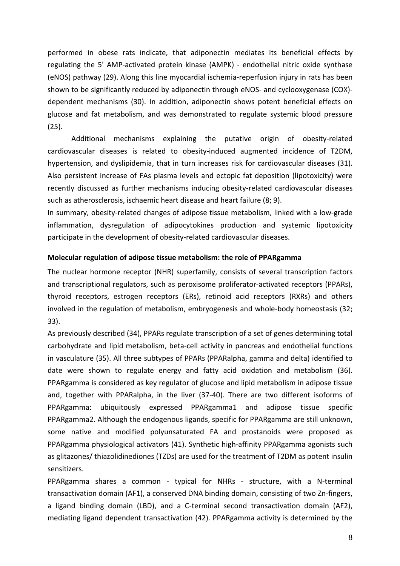performed in obese rats indicate, that adiponectin mediates its beneficial effects by regulating the 5' AMP-activated protein kinase (AMPK) - endothelial nitric oxide synthase (eNOS) pathway (29). Along this line myocardial ischemia-reperfusion injury in rats has been shown to be significantly reduced by adiponectin through eNOS- and cyclooxygenase (COX) dependent mechanisms (30). In addition, adiponectin shows potent beneficial effects on glucose and fat metabolism, and was demonstrated to regulate systemic blood pressure (25).

Additional mechanisms explaining the putative origin of obesity-related cardiovascular diseases is related to obesity-induced augmented incidence of T2DM, hypertension, and dyslipidemia, that in turn increases risk for cardiovascular diseases (31). Also persistent increase of FAs plasma levels and ectopic fat deposition (lipotoxicity) were recently discussed as further mechanisms inducing obesity-related cardiovascular diseases such as atherosclerosis, ischaemic heart disease and heart failure (8; 9).

In summary, obesity-related changes of adipose tissue metabolism, linked with a low-grade inflammation, dysregulation of adipocytokines production and systemic lipotoxicity participate in the development of obesity-related cardiovascular diseases.

### **Molecular regulation of adipose tissue metabolism: the role of PPARgamma**

The nuclear hormone receptor (NHR) superfamily, consists of several transcription factors and transcriptional regulators, such as peroxisome proliferator-activated receptors (PPARs), thyroid receptors, estrogen receptors (ERs), retinoid acid receptors (RXRs) and others involved in the regulation of metabolism, embryogenesis and whole-body homeostasis (32; 33).

As previously described (34), PPARs regulate transcription of a set of genes determining total carbohydrate and lipid metabolism, beta-cell activity in pancreas and endothelial functions in vasculature (35). All three subtypes of PPARs (PPARalpha, gamma and delta) identified to date were shown to regulate energy and fatty acid oxidation and metabolism (36). PPARgamma is considered as key regulator of glucose and lipid metabolism in adipose tissue and, together with PPARalpha, in the liver (37-40). There are two different isoforms of PPARgamma: ubiquitously expressed PPARgamma1 and adipose tissue specific PPARgamma2. Although the endogenous ligands, specific for PPARgamma are still unknown, some native and modified polyunsaturated FA and prostanoids were proposed as PPARgamma physiological activators (41). Synthetic high-affinity PPARgamma agonists such as glitazones/ thiazolidinediones (TZDs) are used for the treatment of T2DM as potent insulin sensitizers.

PPARgamma shares a common - typical for NHRs - structure, with a N-terminal transactivation domain (AF1), a conserved DNA binding domain, consisting of two Zn-fingers, a ligand binding domain (LBD), and a C-terminal second transactivation domain (AF2), mediating ligand dependent transactivation (42). PPARgamma activity is determined by the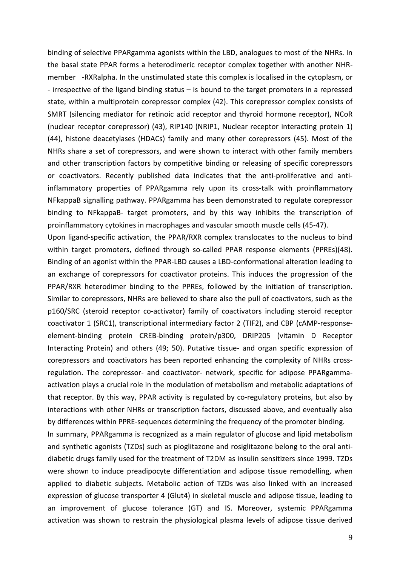binding of selective PPARgamma agonists within the LBD, analogues to most of the NHRs. In the basal state PPAR forms a heterodimeric receptor complex together with another NHRmember -RXRalpha. In the unstimulated state this complex is localised in the cytoplasm, or - irrespective of the ligand binding status – is bound to the target promoters in a repressed state, within a multiprotein corepressor complex (42). This corepressor complex consists of SMRT (silencing mediator for retinoic acid receptor and thyroid hormone receptor), NCoR (nuclear receptor corepressor) (43), RIP140 (NRIP1, Nuclear receptor interacting protein 1) (44), histone deacetylases (HDACs) family and many other corepressors (45). Most of the NHRs share a set of corepressors, and were shown to interact with other family members and other transcription factors by competitive binding or releasing of specific corepressors or coactivators. Recently published data indicates that the anti-proliferative and antiinflammatory properties of PPARgamma rely upon its cross-talk with proinflammatory NFkappaB signalling pathway. PPARgamma has been demonstrated to regulate corepressor binding to NFkappaB- target promoters, and by this way inhibits the transcription of proinflammatory cytokines in macrophages and vascular smooth muscle cells (45-47).

Upon ligand-specific activation, the PPAR/RXR complex translocates to the nucleus to bind within target promoters, defined through so-called PPAR response elements (PPREs)(48). Binding of an agonist within the PPAR-LBD causes a LBD-conformational alteration leading to an exchange of corepressors for coactivator proteins. This induces the progression of the PPAR/RXR heterodimer binding to the PPREs, followed by the initiation of transcription. Similar to corepressors, NHRs are believed to share also the pull of coactivators, such as the p160/SRC (steroid receptor co-activator) family of coactivators including steroid receptor coactivator 1 (SRC1), transcriptional intermediary factor 2 (TIF2), and CBP (cAMP-responseelement-binding protein CREB-binding protein/p300, DRIP205 (vitamin D Receptor Interacting Protein) and others (49; 50). Putative tissue- and organ specific expression of corepressors and coactivators has been reported enhancing the complexity of NHRs crossregulation. The corepressor- and coactivator- network, specific for adipose PPARgammaactivation plays a crucial role in the modulation of metabolism and metabolic adaptations of that receptor. By this way, PPAR activity is regulated by co-regulatory proteins, but also by interactions with other NHRs or transcription factors, discussed above, and eventually also by differences within PPRE-sequences determining the frequency of the promoter binding.

In summary, PPARgamma is recognized as a main regulator of glucose and lipid metabolism and synthetic agonists (TZDs) such as pioglitazone and rosiglitazone belong to the oral antidiabetic drugs family used for the treatment of T2DM as insulin sensitizers since 1999. TZDs were shown to induce preadipocyte differentiation and adipose tissue remodelling, when applied to diabetic subjects. Metabolic action of TZDs was also linked with an increased expression of glucose transporter 4 (Glut4) in skeletal muscle and adipose tissue, leading to an improvement of glucose tolerance (GT) and IS. Moreover, systemic PPARgamma activation was shown to restrain the physiological plasma levels of adipose tissue derived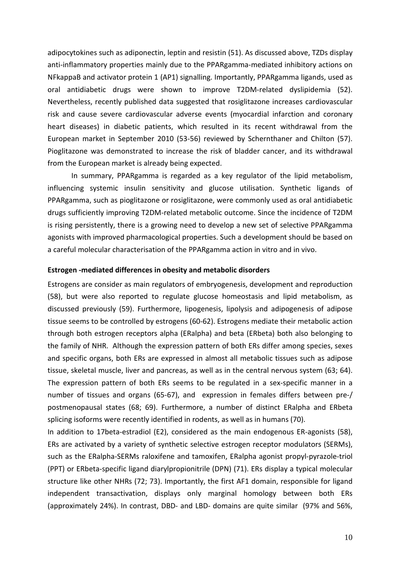adipocytokines such as adiponectin, leptin and resistin (51). As discussed above, TZDs display anti-inflammatory properties mainly due to the PPARgamma-mediated inhibitory actions on NFkappaB and activator protein 1 (AP1) signalling. Importantly, PPARgamma ligands, used as oral antidiabetic drugs were shown to improve T2DM-related dyslipidemia (52). Nevertheless, recently published data suggested that rosiglitazone increases cardiovascular risk and cause severe cardiovascular adverse events (myocardial infarction and coronary heart diseases) in diabetic patients, which resulted in its recent withdrawal from the European market in September 2010 (53-56) reviewed by Schernthaner and Chilton (57). Pioglitazone was demonstrated to increase the risk of bladder cancer, and its withdrawal from the European market is already being expected.

In summary, PPARgamma is regarded as a key regulator of the lipid metabolism, influencing systemic insulin sensitivity and glucose utilisation. Synthetic ligands of PPARgamma, such as pioglitazone or rosiglitazone, were commonly used as oral antidiabetic drugs sufficiently improving T2DM-related metabolic outcome. Since the incidence of T2DM is rising persistently, there is a growing need to develop a new set of selective PPARgamma agonists with improved pharmacological properties. Such a development should be based on a careful molecular characterisation of the PPARgamma action in vitro and in vivo.

#### **Estrogen -mediated differences in obesity and metabolic disorders**

Estrogens are consider as main regulators of embryogenesis, development and reproduction (58), but were also reported to regulate glucose homeostasis and lipid metabolism, as discussed previously (59). Furthermore, lipogenesis, lipolysis and adipogenesis of adipose tissue seems to be controlled by estrogens (60-62). Estrogens mediate their metabolic action through both estrogen receptors alpha (ERalpha) and beta (ERbeta) both also belonging to the family of NHR. Although the expression pattern of both ERs differ among species, sexes and specific organs, both ERs are expressed in almost all metabolic tissues such as adipose tissue, skeletal muscle, liver and pancreas, as well as in the central nervous system (63; 64). The expression pattern of both ERs seems to be regulated in a sex-specific manner in a number of tissues and organs (65-67), and expression in females differs between pre-/ postmenopausal states (68; 69). Furthermore, a number of distinct ERalpha and ERbeta splicing isoforms were recently identified in rodents, as well as in humans (70).

In addition to 17beta-estradiol (E2), considered as the main endogenous ER-agonists (58), ERs are activated by a variety of synthetic selective estrogen receptor modulators (SERMs), such as the ERalpha-SERMs raloxifene and tamoxifen, ERalpha agonist propyl-pyrazole-triol (PPT) or ERbeta-specific ligand diarylpropionitrile (DPN) (71). ERs display a typical molecular structure like other NHRs (72; 73). Importantly, the first AF1 domain, responsible for ligand independent transactivation, displays only marginal homology between both ERs (approximately 24%). In contrast, DBD- and LBD- domains are quite similar (97% and 56%,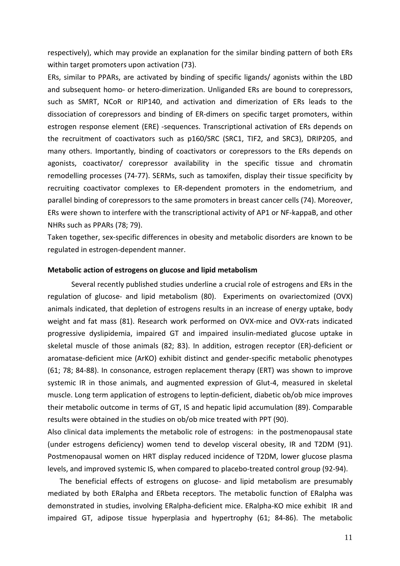respectively), which may provide an explanation for the similar binding pattern of both ERs within target promoters upon activation (73).

ERs, similar to PPARs, are activated by binding of specific ligands/ agonists within the LBD and subsequent homo- or hetero-dimerization. Unliganded ERs are bound to corepressors, such as SMRT, NCoR or RIP140, and activation and dimerization of ERs leads to the dissociation of corepressors and binding of ER-dimers on specific target promoters, within estrogen response element (ERE) -sequences. Transcriptional activation of ERs depends on the recruitment of coactivators such as p160/SRC (SRC1, TIF2, and SRC3), DRIP205, and many others. Importantly, binding of coactivators or corepressors to the ERs depends on agonists, coactivator/ corepressor availability in the specific tissue and chromatin remodelling processes (74-77). SERMs, such as tamoxifen, display their tissue specificity by recruiting coactivator complexes to ER-dependent promoters in the endometrium, and parallel binding of corepressors to the same promoters in breast cancer cells (74). Moreover, ERs were shown to interfere with the transcriptional activity of AP1 or NF-kappaB, and other NHRs such as PPARs (78; 79).

Taken together, sex-specific differences in obesity and metabolic disorders are known to be regulated in estrogen-dependent manner.

#### **Metabolic action of estrogens on glucose and lipid metabolism**

Several recently published studies underline a crucial role of estrogens and ERs in the regulation of glucose- and lipid metabolism (80). Experiments on ovariectomized (OVX) animals indicated, that depletion of estrogens results in an increase of energy uptake, body weight and fat mass (81). Research work performed on OVX-mice and OVX-rats indicated progressive dyslipidemia, impaired GT and impaired insulin-mediated glucose uptake in skeletal muscle of those animals (82; 83). In addition, estrogen receptor (ER)-deficient or aromatase-deficient mice (ArKO) exhibit distinct and gender-specific metabolic phenotypes (61; 78; 84-88). In consonance, estrogen replacement therapy (ERT) was shown to improve systemic IR in those animals, and augmented expression of Glut-4, measured in skeletal muscle. Long term application of estrogens to leptin-deficient, diabetic ob/ob mice improves their metabolic outcome in terms of GT, IS and hepatic lipid accumulation (89). Comparable results were obtained in the studies on ob/ob mice treated with PPT (90).

Also clinical data implements the metabolic role of estrogens: in the postmenopausal state (under estrogens deficiency) women tend to develop visceral obesity, IR and T2DM (91). Postmenopausal women on HRT display reduced incidence of T2DM, lower glucose plasma levels, and improved systemic IS, when compared to placebo-treated control group (92-94).

The beneficial effects of estrogens on glucose- and lipid metabolism are presumably mediated by both ERalpha and ERbeta receptors. The metabolic function of ERalpha was demonstrated in studies, involving ERalpha-deficient mice. ERalpha-KO mice exhibit IR and impaired GT, adipose tissue hyperplasia and hypertrophy (61; 84-86). The metabolic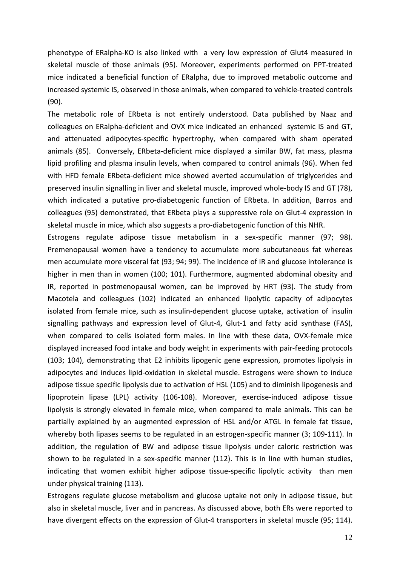phenotype of ERalpha-KO is also linked with a very low expression of Glut4 measured in skeletal muscle of those animals (95). Moreover, experiments performed on PPT-treated mice indicated a beneficial function of ERalpha, due to improved metabolic outcome and increased systemic IS, observed in those animals, when compared to vehicle-treated controls (90).

The metabolic role of ERbeta is not entirely understood. Data published by Naaz and colleagues on ERalpha-deficient and OVX mice indicated an enhanced systemic IS and GT, and attenuated adipocytes-specific hypertrophy, when compared with sham operated animals (85). Conversely, ERbeta-deficient mice displayed a similar BW, fat mass, plasma lipid profiling and plasma insulin levels, when compared to control animals (96). When fed with HFD female ERbeta-deficient mice showed averted accumulation of triglycerides and preserved insulin signalling in liver and skeletal muscle, improved whole-body IS and GT (78), which indicated a putative pro-diabetogenic function of ERbeta. In addition, Barros and colleagues (95) demonstrated, that ERbeta plays a suppressive role on Glut-4 expression in skeletal muscle in mice, which also suggests a pro-diabetogenic function of this NHR.

Estrogens regulate adipose tissue metabolism in a sex-specific manner (97; 98). Premenopausal women have a tendency to accumulate more subcutaneous fat whereas men accumulate more visceral fat (93; 94; 99). The incidence of IR and glucose intolerance is higher in men than in women (100; 101). Furthermore, augmented abdominal obesity and IR, reported in postmenopausal women, can be improved by HRT (93). The study from Macotela and colleagues (102) indicated an enhanced lipolytic capacity of adipocytes isolated from female mice, such as insulin-dependent glucose uptake, activation of insulin signalling pathways and expression level of Glut-4, Glut-1 and fatty acid synthase (FAS), when compared to cells isolated form males. In line with these data, OVX-female mice displayed increased food intake and body weight in experiments with pair-feeding protocols (103; 104), demonstrating that E2 inhibits lipogenic gene expression, promotes lipolysis in adipocytes and induces lipid-oxidation in skeletal muscle. Estrogens were shown to induce adipose tissue specific lipolysis due to activation of HSL (105) and to diminish lipogenesis and lipoprotein lipase (LPL) activity (106-108). Moreover, exercise-induced adipose tissue lipolysis is strongly elevated in female mice, when compared to male animals. This can be partially explained by an augmented expression of HSL and/or ATGL in female fat tissue, whereby both lipases seems to be regulated in an estrogen-specific manner (3; 109-111). In addition, the regulation of BW and adipose tissue lipolysis under caloric restriction was shown to be regulated in a sex-specific manner (112). This is in line with human studies, indicating that women exhibit higher adipose tissue-specific lipolytic activity than men under physical training (113).

Estrogens regulate glucose metabolism and glucose uptake not only in adipose tissue, but also in skeletal muscle, liver and in pancreas. As discussed above, both ERs were reported to have divergent effects on the expression of Glut-4 transporters in skeletal muscle (95; 114).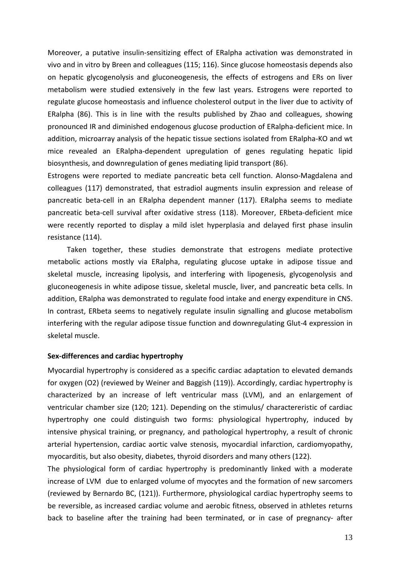Moreover, a putative insulin-sensitizing effect of ERalpha activation was demonstrated in vivo and in vitro by Breen and colleagues (115; 116). Since glucose homeostasis depends also on hepatic glycogenolysis and gluconeogenesis, the effects of estrogens and ERs on liver metabolism were studied extensively in the few last years. Estrogens were reported to regulate glucose homeostasis and influence cholesterol output in the liver due to activity of ERalpha (86). This is in line with the results published by Zhao and colleagues, showing pronounced IR and diminished endogenous glucose production of ERalpha-deficient mice. In addition, microarray analysis of the hepatic tissue sections isolated from ERalpha-KO and wt mice revealed an ERalpha-dependent upregulation of genes regulating hepatic lipid biosynthesis, and downregulation of genes mediating lipid transport (86).

Estrogens were reported to mediate pancreatic beta cell function. Alonso-Magdalena and colleagues (117) demonstrated, that estradiol augments insulin expression and release of pancreatic beta-cell in an ERalpha dependent manner (117). ERalpha seems to mediate pancreatic beta-cell survival after oxidative stress (118). Moreover, ERbeta-deficient mice were recently reported to display a mild islet hyperplasia and delayed first phase insulin resistance (114).

Taken together, these studies demonstrate that estrogens mediate protective metabolic actions mostly via ERalpha, regulating glucose uptake in adipose tissue and skeletal muscle, increasing lipolysis, and interfering with lipogenesis, glycogenolysis and gluconeogenesis in white adipose tissue, skeletal muscle, liver, and pancreatic beta cells. In addition, ERalpha was demonstrated to regulate food intake and energy expenditure in CNS. In contrast, ERbeta seems to negatively regulate insulin signalling and glucose metabolism interfering with the regular adipose tissue function and downregulating Glut-4 expression in skeletal muscle.

#### **Sex-differences and cardiac hypertrophy**

Myocardial hypertrophy is considered as a specific cardiac adaptation to elevated demands for oxygen (O2) (reviewed by Weiner and Baggish (119)). Accordingly, cardiac hypertrophy is characterized by an increase of left ventricular mass (LVM), and an enlargement of ventricular chamber size (120; 121). Depending on the stimulus/ charactereristic of cardiac hypertrophy one could distinguish two forms: physiological hypertrophy, induced by intensive physical training, or pregnancy, and pathological hypertrophy, a result of chronic arterial hypertension, cardiac aortic valve stenosis, myocardial infarction, cardiomyopathy, myocarditis, but also obesity, diabetes, thyroid disorders and many others (122).

The physiological form of cardiac hypertrophy is predominantly linked with a moderate increase of LVM due to enlarged volume of myocytes and the formation of new sarcomers (reviewed by Bernardo BC, (121)). Furthermore, physiological cardiac hypertrophy seems to be reversible, as increased cardiac volume and aerobic fitness, observed in athletes returns back to baseline after the training had been terminated, or in case of pregnancy- after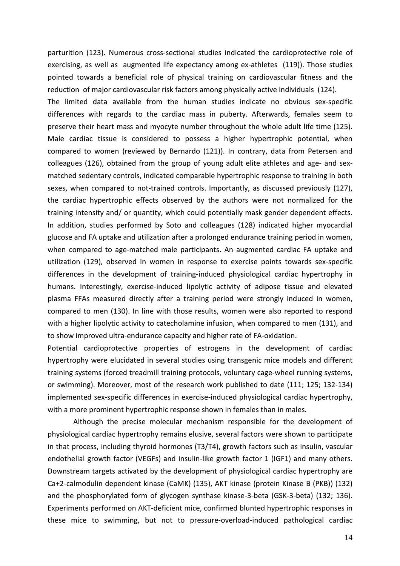parturition (123). Numerous cross-sectional studies indicated the cardioprotective role of exercising, as well as augmented life expectancy among ex-athletes (119)). Those studies pointed towards a beneficial role of physical training on cardiovascular fitness and the reduction of major cardiovascular risk factors among physically active individuals (124).

The limited data available from the human studies indicate no obvious sex-specific differences with regards to the cardiac mass in puberty. Afterwards, females seem to preserve their heart mass and myocyte number throughout the whole adult life time (125). Male cardiac tissue is considered to possess a higher hypertrophic potential, when compared to women (reviewed by Bernardo (121)). In contrary, data from Petersen and colleagues (126), obtained from the group of young adult elite athletes and age- and sexmatched sedentary controls, indicated comparable hypertrophic response to training in both sexes, when compared to not-trained controls. Importantly, as discussed previously (127), the cardiac hypertrophic effects observed by the authors were not normalized for the training intensity and/ or quantity, which could potentially mask gender dependent effects. In addition, studies performed by Soto and colleagues (128) indicated higher myocardial glucose and FA uptake and utilization after a prolonged endurance training period in women, when compared to age-matched male participants. An augmented cardiac FA uptake and utilization (129), observed in women in response to exercise points towards sex-specific differences in the development of training-induced physiological cardiac hypertrophy in humans. Interestingly, exercise-induced lipolytic activity of adipose tissue and elevated plasma FFAs measured directly after a training period were strongly induced in women, compared to men (130). In line with those results, women were also reported to respond with a higher lipolytic activity to catecholamine infusion, when compared to men (131), and to show improved ultra-endurance capacity and higher rate of FA-oxidation.

Potential cardioprotective properties of estrogens in the development of cardiac hypertrophy were elucidated in several studies using transgenic mice models and different training systems (forced treadmill training protocols, voluntary cage-wheel running systems, or swimming). Moreover, most of the research work published to date (111; 125; 132-134) implemented sex-specific differences in exercise-induced physiological cardiac hypertrophy, with a more prominent hypertrophic response shown in females than in males.

 Although the precise molecular mechanism responsible for the development of physiological cardiac hypertrophy remains elusive, several factors were shown to participate in that process, including thyroid hormones (T3/T4), growth factors such as insulin, vascular endothelial growth factor (VEGFs) and insulin-like growth factor 1 (IGF1) and many others. Downstream targets activated by the development of physiological cardiac hypertrophy are Ca+2-calmodulin dependent kinase (CaMK) (135), AKT kinase (protein Kinase B (PKB)) (132) and the phosphorylated form of glycogen synthase kinase-3-beta (GSK-3-beta) (132; 136). Experiments performed on AKT-deficient mice, confirmed blunted hypertrophic responses in these mice to swimming, but not to pressure-overload-induced pathological cardiac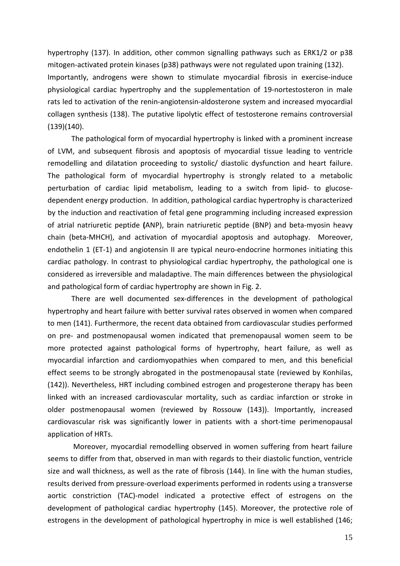hypertrophy (137). In addition, other common signalling pathways such as ERK1/2 or p38 mitogen-activated protein kinases (p38) pathways were not regulated upon training (132). Importantly, androgens were shown to stimulate myocardial fibrosis in exercise-induce physiological cardiac hypertrophy and the supplementation of 19-nortestosteron in male rats led to activation of the renin-angiotensin-aldosterone system and increased myocardial collagen synthesis (138). The putative lipolytic effect of testosterone remains controversial  $(139)(140)$ .

The pathological form of myocardial hypertrophy is linked with a prominent increase of LVM, and subsequent fibrosis and apoptosis of myocardial tissue leading to ventricle remodelling and dilatation proceeding to systolic/ diastolic dysfunction and heart failure. The pathological form of myocardial hypertrophy is strongly related to a metabolic perturbation of cardiac lipid metabolism, leading to a switch from lipid- to glucosedependent energy production. In addition, pathological cardiac hypertrophy is characterized by the induction and reactivation of fetal gene programming including increased expression of atrial natriuretic peptide **(**ANP), brain natriuretic peptide (BNP) and beta-myosin heavy chain (beta-MHCH), and activation of myocardial apoptosis and autophagy. Moreover, endothelin 1 (ET-1) and angiotensin II are typical neuro-endocrine hormones initiating this cardiac pathology. In contrast to physiological cardiac hypertrophy, the pathological one is considered as irreversible and maladaptive. The main differences between the physiological and pathological form of cardiac hypertrophy are shown in Fig. 2.

There are well documented sex-differences in the development of pathological hypertrophy and heart failure with better survival rates observed in women when compared to men (141). Furthermore, the recent data obtained from cardiovascular studies performed on pre- and postmenopausal women indicated that premenopausal women seem to be more protected against pathological forms of hypertrophy, heart failure, as well as myocardial infarction and cardiomyopathies when compared to men, and this beneficial effect seems to be strongly abrogated in the postmenopausal state (reviewed by Konhilas, (142)). Nevertheless, HRT including combined estrogen and progesterone therapy has been linked with an increased cardiovascular mortality, such as cardiac infarction or stroke in older postmenopausal women (reviewed by Rossouw (143)). Importantly, increased cardiovascular risk was significantly lower in patients with a short-time perimenopausal application of HRTs.

 Moreover, myocardial remodelling observed in women suffering from heart failure seems to differ from that, observed in man with regards to their diastolic function, ventricle size and wall thickness, as well as the rate of fibrosis (144). In line with the human studies, results derived from pressure-overload experiments performed in rodents using a transverse aortic constriction (TAC)-model indicated a protective effect of estrogens on the development of pathological cardiac hypertrophy (145). Moreover, the protective role of estrogens in the development of pathological hypertrophy in mice is well established (146;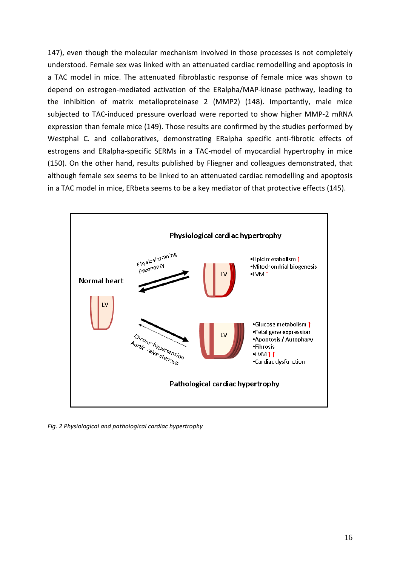147), even though the molecular mechanism involved in those processes is not completely understood. Female sex was linked with an attenuated cardiac remodelling and apoptosis in a TAC model in mice. The attenuated fibroblastic response of female mice was shown to depend on estrogen-mediated activation of the ERalpha/MAP-kinase pathway, leading to the inhibition of matrix metalloproteinase 2 (MMP2) (148). Importantly, male mice subjected to TAC-induced pressure overload were reported to show higher MMP-2 mRNA expression than female mice (149). Those results are confirmed by the studies performed by Westphal C. and collaboratives, demonstrating ERalpha specific anti-fibrotic effects of estrogens and ERalpha-specific SERMs in a TAC-model of myocardial hypertrophy in mice (150). On the other hand, results published by Fliegner and colleagues demonstrated, that although female sex seems to be linked to an attenuated cardiac remodelling and apoptosis in a TAC model in mice, ERbeta seems to be a key mediator of that protective effects (145).



*Fig. 2 Physiological and pathological cardiac hypertrophy*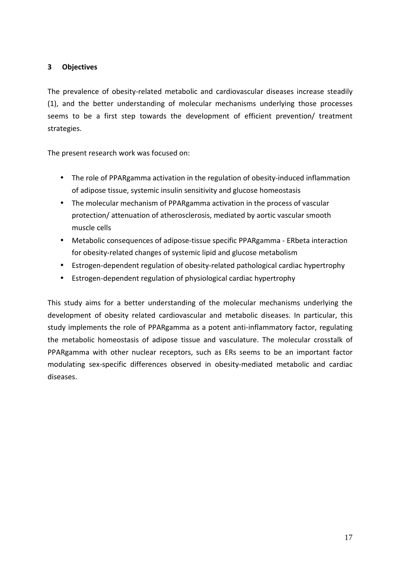### **3 Objectives**

The prevalence of obesity-related metabolic and cardiovascular diseases increase steadily (1), and the better understanding of molecular mechanisms underlying those processes seems to be a first step towards the development of efficient prevention/ treatment strategies.

The present research work was focused on:

- The role of PPARgamma activation in the regulation of obesity-induced inflammation of adipose tissue, systemic insulin sensitivity and glucose homeostasis
- The molecular mechanism of PPARgamma activation in the process of vascular protection/ attenuation of atherosclerosis, mediated by aortic vascular smooth muscle cells
- Metabolic consequences of adipose-tissue specific PPARgamma ERbeta interaction for obesity-related changes of systemic lipid and glucose metabolism
- Estrogen-dependent regulation of obesity-related pathological cardiac hypertrophy
- Estrogen-dependent regulation of physiological cardiac hypertrophy

This study aims for a better understanding of the molecular mechanisms underlying the development of obesity related cardiovascular and metabolic diseases. In particular, this study implements the role of PPARgamma as a potent anti-inflammatory factor, regulating the metabolic homeostasis of adipose tissue and vasculature. The molecular crosstalk of PPARgamma with other nuclear receptors, such as ERs seems to be an important factor modulating sex-specific differences observed in obesity-mediated metabolic and cardiac diseases.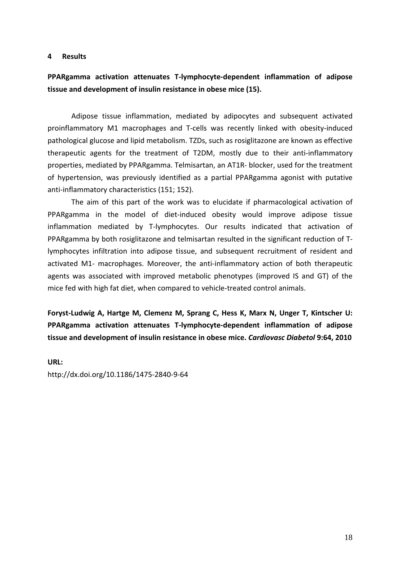#### **4 Results**

## **PPARgamma activation attenuates T-lymphocyte-dependent inflammation of adipose tissue and development of insulin resistance in obese mice (15).**

Adipose tissue inflammation, mediated by adipocytes and subsequent activated proinflammatory M1 macrophages and T-cells was recently linked with obesity-induced pathological glucose and lipid metabolism. TZDs, such as rosiglitazone are known as effective therapeutic agents for the treatment of T2DM, mostly due to their anti-inflammatory properties, mediated by PPARgamma. Telmisartan, an AT1R- blocker, used for the treatment of hypertension, was previously identified as a partial PPARgamma agonist with putative anti-inflammatory characteristics (151; 152).

The aim of this part of the work was to elucidate if pharmacological activation of PPARgamma in the model of diet-induced obesity would improve adipose tissue inflammation mediated by T-lymphocytes. Our results indicated that activation of PPARgamma by both rosiglitazone and telmisartan resulted in the significant reduction of Tlymphocytes infiltration into adipose tissue, and subsequent recruitment of resident and activated M1- macrophages. Moreover, the anti-inflammatory action of both therapeutic agents was associated with improved metabolic phenotypes (improved IS and GT) of the mice fed with high fat diet, when compared to vehicle-treated control animals.

**Foryst-Ludwig A, Hartge M, Clemenz M, Sprang C, Hess K, Marx N, Unger T, Kintscher U: PPARgamma activation attenuates T-lymphocyte-dependent inflammation of adipose tissue and development of insulin resistance in obese mice.** *Cardiovasc Diabetol* **9:64, 2010** 

#### **URL:**

http://dx.doi.org/10.1186/1475-2840-9-64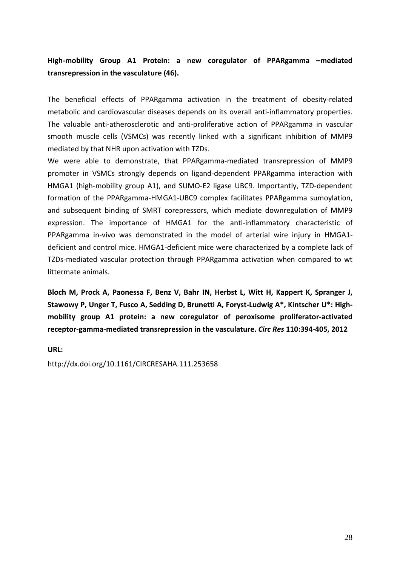## **High-mobility Group A1 Protein: a new coregulator of PPARgamma –mediated transrepression in the vasculature (46).**

The beneficial effects of PPARgamma activation in the treatment of obesity-related metabolic and cardiovascular diseases depends on its overall anti-inflammatory properties. The valuable anti-atherosclerotic and anti-proliferative action of PPARgamma in vascular smooth muscle cells (VSMCs) was recently linked with a significant inhibition of MMP9 mediated by that NHR upon activation with TZDs.

We were able to demonstrate, that PPARgamma-mediated transrepression of MMP9 promoter in VSMCs strongly depends on ligand-dependent PPARgamma interaction with HMGA1 (high-mobility group A1), and SUMO-E2 ligase UBC9. Importantly, TZD-dependent formation of the PPARgamma-HMGA1-UBC9 complex facilitates PPARgamma sumoylation, and subsequent binding of SMRT corepressors, which mediate downregulation of MMP9 expression. The importance of HMGA1 for the anti-inflammatory characteristic of PPARgamma in-vivo was demonstrated in the model of arterial wire injury in HMGA1 deficient and control mice. HMGA1-deficient mice were characterized by a complete lack of TZDs-mediated vascular protection through PPARgamma activation when compared to wt littermate animals.

**Bloch M, Prock A, Paonessa F, Benz V, Bahr IN, Herbst L, Witt H, Kappert K, Spranger J, Stawowy P, Unger T, Fusco A, Sedding D, Brunetti A, Foryst-Ludwig A\*, Kintscher U\*: Highmobility group A1 protein: a new coregulator of peroxisome proliferator-activated receptor-gamma-mediated transrepression in the vasculature.** *Circ Res* **110:394-405, 2012** 

**URL:** 

http://dx.doi.org/10.1161/CIRCRESAHA.111.253658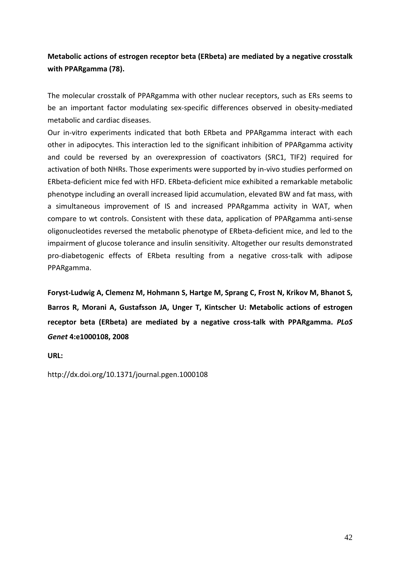## **Metabolic actions of estrogen receptor beta (ERbeta) are mediated by a negative crosstalk with PPARgamma (78).**

The molecular crosstalk of PPARgamma with other nuclear receptors, such as ERs seems to be an important factor modulating sex-specific differences observed in obesity-mediated metabolic and cardiac diseases.

Our in-vitro experiments indicated that both ERbeta and PPARgamma interact with each other in adipocytes. This interaction led to the significant inhibition of PPARgamma activity and could be reversed by an overexpression of coactivators (SRC1, TIF2) required for activation of both NHRs. Those experiments were supported by in-vivo studies performed on ERbeta-deficient mice fed with HFD. ERbeta-deficient mice exhibited a remarkable metabolic phenotype including an overall increased lipid accumulation, elevated BW and fat mass, with a simultaneous improvement of IS and increased PPARgamma activity in WAT, when compare to wt controls. Consistent with these data, application of PPARgamma anti-sense oligonucleotides reversed the metabolic phenotype of ERbeta-deficient mice, and led to the impairment of glucose tolerance and insulin sensitivity. Altogether our results demonstrated pro-diabetogenic effects of ERbeta resulting from a negative cross-talk with adipose PPARgamma.

**Foryst-Ludwig A, Clemenz M, Hohmann S, Hartge M, Sprang C, Frost N, Krikov M, Bhanot S, Barros R, Morani A, Gustafsson JA, Unger T, Kintscher U: Metabolic actions of estrogen receptor beta (ERbeta) are mediated by a negative cross-talk with PPARgamma.** *PLoS Genet* **4:e1000108, 2008** 

**URL:** 

http://dx.doi.org/10.1371/journal.pgen.1000108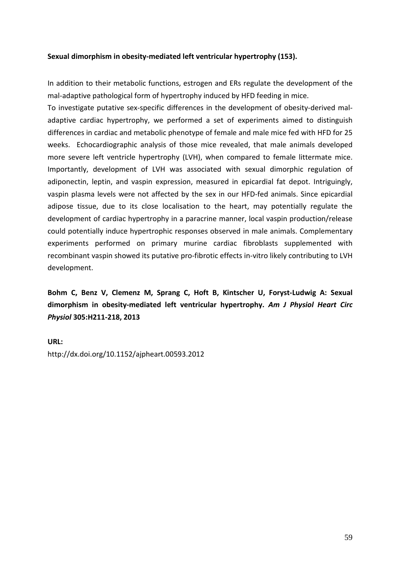### **Sexual dimorphism in obesity-mediated left ventricular hypertrophy (153).**

In addition to their metabolic functions, estrogen and ERs regulate the development of the mal-adaptive pathological form of hypertrophy induced by HFD feeding in mice.

To investigate putative sex-specific differences in the development of obesity-derived maladaptive cardiac hypertrophy, we performed a set of experiments aimed to distinguish differences in cardiac and metabolic phenotype of female and male mice fed with HFD for 25 weeks. Echocardiographic analysis of those mice revealed, that male animals developed more severe left ventricle hypertrophy (LVH), when compared to female littermate mice. Importantly, development of LVH was associated with sexual dimorphic regulation of adiponectin, leptin, and vaspin expression, measured in epicardial fat depot. Intriguingly, vaspin plasma levels were not affected by the sex in our HFD-fed animals. Since epicardial adipose tissue, due to its close localisation to the heart, may potentially regulate the development of cardiac hypertrophy in a paracrine manner, local vaspin production/release could potentially induce hypertrophic responses observed in male animals. Complementary experiments performed on primary murine cardiac fibroblasts supplemented with recombinant vaspin showed its putative pro-fibrotic effects in-vitro likely contributing to LVH development.

## **Bohm C, Benz V, Clemenz M, Sprang C, Hoft B, Kintscher U, Foryst-Ludwig A: Sexual dimorphism in obesity-mediated left ventricular hypertrophy.** *Am J Physiol Heart Circ Physiol* **305:H211-218, 2013**

**URL:**  http://dx.doi.org/10.1152/ajpheart.00593.2012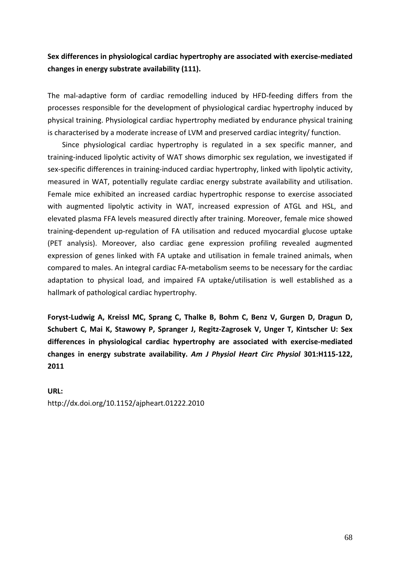## **Sex differences in physiological cardiac hypertrophy are associated with exercise-mediated changes in energy substrate availability (111).**

The mal-adaptive form of cardiac remodelling induced by HFD-feeding differs from the processes responsible for the development of physiological cardiac hypertrophy induced by physical training. Physiological cardiac hypertrophy mediated by endurance physical training is characterised by a moderate increase of LVM and preserved cardiac integrity/ function.

Since physiological cardiac hypertrophy is regulated in a sex specific manner, and training-induced lipolytic activity of WAT shows dimorphic sex regulation, we investigated if sex-specific differences in training-induced cardiac hypertrophy, linked with lipolytic activity, measured in WAT, potentially regulate cardiac energy substrate availability and utilisation. Female mice exhibited an increased cardiac hypertrophic response to exercise associated with augmented lipolytic activity in WAT, increased expression of ATGL and HSL, and elevated plasma FFA levels measured directly after training. Moreover, female mice showed training-dependent up-regulation of FA utilisation and reduced myocardial glucose uptake (PET analysis). Moreover, also cardiac gene expression profiling revealed augmented expression of genes linked with FA uptake and utilisation in female trained animals, when compared to males. An integral cardiac FA-metabolism seems to be necessary for the cardiac adaptation to physical load, and impaired FA uptake/utilisation is well established as a hallmark of pathological cardiac hypertrophy.

**Foryst-Ludwig A, Kreissl MC, Sprang C, Thalke B, Bohm C, Benz V, Gurgen D, Dragun D, Schubert C, Mai K, Stawowy P, Spranger J, Regitz-Zagrosek V, Unger T, Kintscher U: Sex differences in physiological cardiac hypertrophy are associated with exercise-mediated changes in energy substrate availability.** *Am J Physiol Heart Circ Physiol* **301:H115-122, 2011** 

#### **URL:**

http://dx.doi.org/10.1152/ajpheart.01222.2010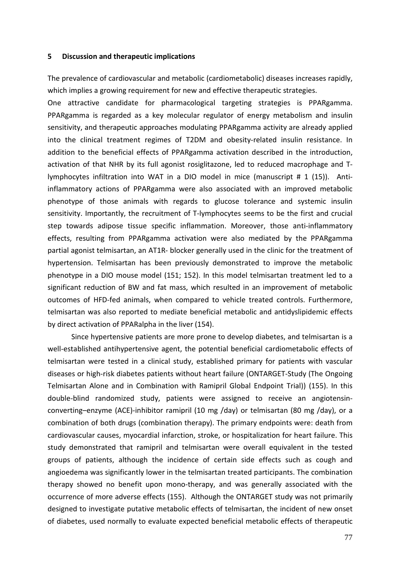#### **5 Discussion and therapeutic implications**

The prevalence of cardiovascular and metabolic (cardiometabolic) diseases increases rapidly, which implies a growing requirement for new and effective therapeutic strategies.

One attractive candidate for pharmacological targeting strategies is PPARgamma. PPARgamma is regarded as a key molecular regulator of energy metabolism and insulin sensitivity, and therapeutic approaches modulating PPARgamma activity are already applied into the clinical treatment regimes of T2DM and obesity-related insulin resistance. In addition to the beneficial effects of PPARgamma activation described in the introduction, activation of that NHR by its full agonist rosiglitazone, led to reduced macrophage and Tlymphocytes infiltration into WAT in a DIO model in mice (manuscript # 1 (15)). Antiinflammatory actions of PPARgamma were also associated with an improved metabolic phenotype of those animals with regards to glucose tolerance and systemic insulin sensitivity. Importantly, the recruitment of T-lymphocytes seems to be the first and crucial step towards adipose tissue specific inflammation. Moreover, those anti-inflammatory effects, resulting from PPARgamma activation were also mediated by the PPARgamma partial agonist telmisartan, an AT1R- blocker generally used in the clinic for the treatment of hypertension. Telmisartan has been previously demonstrated to improve the metabolic phenotype in a DIO mouse model (151; 152). In this model telmisartan treatment led to a significant reduction of BW and fat mass, which resulted in an improvement of metabolic outcomes of HFD-fed animals, when compared to vehicle treated controls. Furthermore, telmisartan was also reported to mediate beneficial metabolic and antidyslipidemic effects by direct activation of PPARalpha in the liver (154).

Since hypertensive patients are more prone to develop diabetes, and telmisartan is a well-established antihypertensive agent, the potential beneficial cardiometabolic effects of telmisartan were tested in a clinical study, established primary for patients with vascular diseases or high-risk diabetes patients without heart failure (ONTARGET-Study (The Ongoing Telmisartan Alone and in Combination with Ramipril Global Endpoint Trial)) (155). In this double-blind randomized study, patients were assigned to receive an angiotensinconverting–enzyme (ACE)-inhibitor ramipril (10 mg /day) or telmisartan (80 mg /day), or a combination of both drugs (combination therapy). The primary endpoints were: death from cardiovascular causes, myocardial infarction, stroke, or hospitalization for heart failure. This study demonstrated that ramipril and telmisartan were overall equivalent in the tested groups of patients, although the incidence of certain side effects such as cough and angioedema was significantly lower in the telmisartan treated participants. The combination therapy showed no benefit upon mono-therapy, and was generally associated with the occurrence of more adverse effects (155). Although the ONTARGET study was not primarily designed to investigate putative metabolic effects of telmisartan, the incident of new onset of diabetes, used normally to evaluate expected beneficial metabolic effects of therapeutic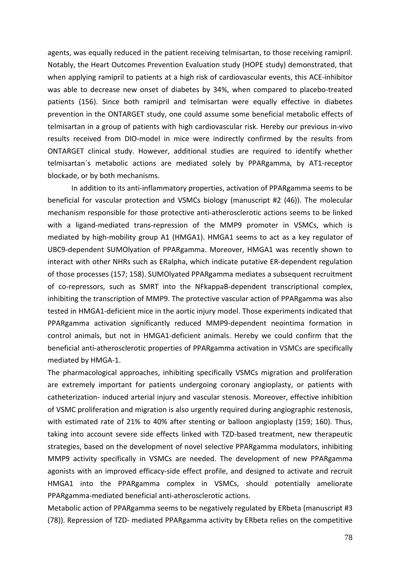agents, was equally reduced in the patient receiving telmisartan, to those receiving ramipril. Notably, the Heart Outcomes Prevention Evaluation study (HOPE study) demonstrated, that when applying ramipril to patients at a high risk of cardiovascular events, this ACE-inhibitor was able to decrease new onset of diabetes by 34%, when compared to placebo-treated patients (156). Since both ramipril and telmisartan were equally effective in diabetes prevention in the ONTARGET study, one could assume some beneficial metabolic effects of telmisartan in a group of patients with high cardiovascular risk. Hereby our previous in-vivo results received from DIO-model in mice were indirectly confirmed by the results from ONTARGET clinical study. However, additional studies are required to identify whether telmisartan´s metabolic actions are mediated solely by PPARgamma, by AT1-receptor blockade, or by both mechanisms.

In addition to its anti-inflammatory properties, activation of PPARgamma seems to be beneficial for vascular protection and VSMCs biology (manuscript #2 (46)). The molecular mechanism responsible for those protective anti-atherosclerotic actions seems to be linked with a ligand-mediated trans-repression of the MMP9 promoter in VSMCs, which is mediated by high-mobility group A1 (HMGA1). HMGA1 seems to act as a key regulator of UBC9-dependent SUMOlyation of PPARgamma. Moreover, HMGA1 was recently shown to interact with other NHRs such as ERalpha, which indicate putative ER-dependent regulation of those processes (157; 158). SUMOlyated PPARgamma mediates a subsequent recruitment of co-repressors, such as SMRT into the NFkappaB-dependent transcriptional complex, inhibiting the transcription of MMP9. The protective vascular action of PPARgamma was also tested in HMGA1-deficient mice in the aortic injury model. Those experiments indicated that PPARgamma activation significantly reduced MMP9-dependent neointima formation in control animals, but not in HMGA1-deficient animals. Hereby we could confirm that the beneficial anti-atherosclerotic properties of PPARgamma activation in VSMCs are specifically mediated by HMGA-1.

The pharmacological approaches, inhibiting specifically VSMCs migration and proliferation are extremely important for patients undergoing coronary angioplasty, or patients with catheterization- induced arterial injury and vascular stenosis. Moreover, effective inhibition of VSMC proliferation and migration is also urgently required during angiographic restenosis, with estimated rate of 21% to 40% after stenting or balloon angioplasty (159; 160). Thus, taking into account severe side effects linked with TZD-based treatment, new therapeutic strategies, based on the development of novel selective PPARgamma modulators, inhibiting MMP9 activity specifically in VSMCs are needed. The development of new PPARgamma agonists with an improved efficacy-side effect profile, and designed to activate and recruit HMGA1 into the PPARgamma complex in VSMCs, should potentially ameliorate PPARgamma-mediated beneficial anti-atherosclerotic actions.

Metabolic action of PPARgamma seems to be negatively regulated by ERbeta (manuscript #3 (78)). Repression of TZD- mediated PPARgamma activity by ERbeta relies on the competitive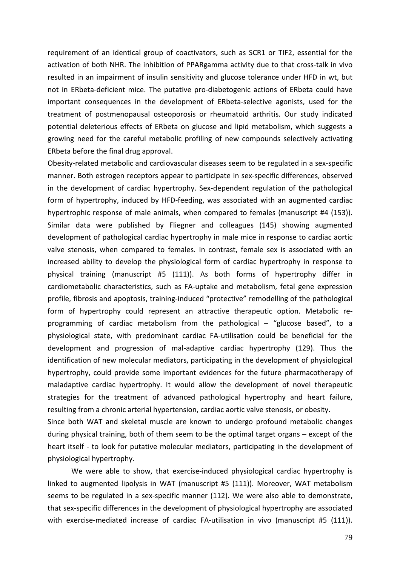requirement of an identical group of coactivators, such as SCR1 or TIF2, essential for the activation of both NHR. The inhibition of PPARgamma activity due to that cross-talk in vivo resulted in an impairment of insulin sensitivity and glucose tolerance under HFD in wt, but not in ERbeta-deficient mice. The putative pro-diabetogenic actions of ERbeta could have important consequences in the development of ERbeta-selective agonists, used for the treatment of postmenopausal osteoporosis or rheumatoid arthritis. Our study indicated potential deleterious effects of ERbeta on glucose and lipid metabolism, which suggests a growing need for the careful metabolic profiling of new compounds selectively activating ERbeta before the final drug approval.

Obesity-related metabolic and cardiovascular diseases seem to be regulated in a sex-specific manner. Both estrogen receptors appear to participate in sex-specific differences, observed in the development of cardiac hypertrophy. Sex-dependent regulation of the pathological form of hypertrophy, induced by HFD-feeding, was associated with an augmented cardiac hypertrophic response of male animals, when compared to females (manuscript #4 (153)). Similar data were published by Fliegner and colleagues (145) showing augmented development of pathological cardiac hypertrophy in male mice in response to cardiac aortic valve stenosis, when compared to females. In contrast, female sex is associated with an increased ability to develop the physiological form of cardiac hypertrophy in response to physical training (manuscript #5 (111)). As both forms of hypertrophy differ in cardiometabolic characteristics, such as FA-uptake and metabolism, fetal gene expression profile, fibrosis and apoptosis, training-induced "protective" remodelling of the pathological form of hypertrophy could represent an attractive therapeutic option. Metabolic reprogramming of cardiac metabolism from the pathological – "glucose based", to a physiological state, with predominant cardiac FA-utilisation could be beneficial for the development and progression of mal-adaptive cardiac hypertrophy (129). Thus the identification of new molecular mediators, participating in the development of physiological hypertrophy, could provide some important evidences for the future pharmacotherapy of maladaptive cardiac hypertrophy. It would allow the development of novel therapeutic strategies for the treatment of advanced pathological hypertrophy and heart failure, resulting from a chronic arterial hypertension, cardiac aortic valve stenosis, or obesity.

Since both WAT and skeletal muscle are known to undergo profound metabolic changes during physical training, both of them seem to be the optimal target organs – except of the heart itself - to look for putative molecular mediators, participating in the development of physiological hypertrophy.

We were able to show, that exercise-induced physiological cardiac hypertrophy is linked to augmented lipolysis in WAT (manuscript #5 (111)). Moreover, WAT metabolism seems to be regulated in a sex-specific manner (112). We were also able to demonstrate, that sex-specific differences in the development of physiological hypertrophy are associated with exercise-mediated increase of cardiac FA-utilisation in vivo (manuscript #5 (111)).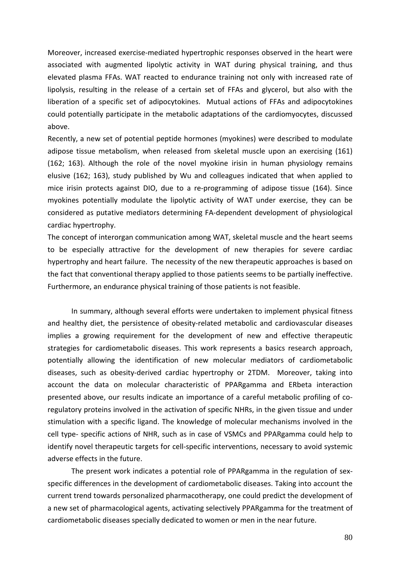Moreover, increased exercise-mediated hypertrophic responses observed in the heart were associated with augmented lipolytic activity in WAT during physical training, and thus elevated plasma FFAs. WAT reacted to endurance training not only with increased rate of lipolysis, resulting in the release of a certain set of FFAs and glycerol, but also with the liberation of a specific set of adipocytokines. Mutual actions of FFAs and adipocytokines could potentially participate in the metabolic adaptations of the cardiomyocytes, discussed above.

Recently, a new set of potential peptide hormones (myokines) were described to modulate adipose tissue metabolism, when released from skeletal muscle upon an exercising (161) (162; 163). Although the role of the novel myokine irisin in human physiology remains elusive (162; 163), study published by Wu and colleagues indicated that when applied to mice irisin protects against DIO, due to a re-programming of adipose tissue (164). Since myokines potentially modulate the lipolytic activity of WAT under exercise, they can be considered as putative mediators determining FA-dependent development of physiological cardiac hypertrophy.

The concept of interorgan communication among WAT, skeletal muscle and the heart seems to be especially attractive for the development of new therapies for severe cardiac hypertrophy and heart failure. The necessity of the new therapeutic approaches is based on the fact that conventional therapy applied to those patients seems to be partially ineffective. Furthermore, an endurance physical training of those patients is not feasible.

In summary, although several efforts were undertaken to implement physical fitness and healthy diet, the persistence of obesity-related metabolic and cardiovascular diseases implies a growing requirement for the development of new and effective therapeutic strategies for cardiometabolic diseases. This work represents a basics research approach, potentially allowing the identification of new molecular mediators of cardiometabolic diseases, such as obesity-derived cardiac hypertrophy or 2TDM. Moreover, taking into account the data on molecular characteristic of PPARgamma and ERbeta interaction presented above, our results indicate an importance of a careful metabolic profiling of coregulatory proteins involved in the activation of specific NHRs, in the given tissue and under stimulation with a specific ligand. The knowledge of molecular mechanisms involved in the cell type- specific actions of NHR, such as in case of VSMCs and PPARgamma could help to identify novel therapeutic targets for cell-specific interventions, necessary to avoid systemic adverse effects in the future.

The present work indicates a potential role of PPARgamma in the regulation of sexspecific differences in the development of cardiometabolic diseases. Taking into account the current trend towards personalized pharmacotherapy, one could predict the development of a new set of pharmacological agents, activating selectively PPARgamma for the treatment of cardiometabolic diseases specially dedicated to women or men in the near future.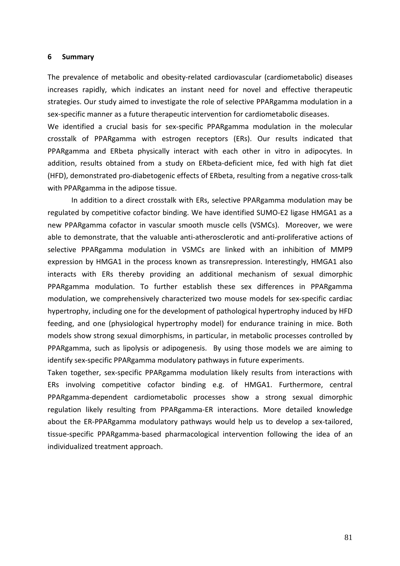#### **6 Summary**

The prevalence of metabolic and obesity-related cardiovascular (cardiometabolic) diseases increases rapidly, which indicates an instant need for novel and effective therapeutic strategies. Our study aimed to investigate the role of selective PPARgamma modulation in a sex-specific manner as a future therapeutic intervention for cardiometabolic diseases.

We identified a crucial basis for sex-specific PPARgamma modulation in the molecular crosstalk of PPARgamma with estrogen receptors (ERs). Our results indicated that PPARgamma and ERbeta physically interact with each other in vitro in adipocytes. In addition, results obtained from a study on ERbeta-deficient mice, fed with high fat diet (HFD), demonstrated pro-diabetogenic effects of ERbeta, resulting from a negative cross-talk with PPARgamma in the adipose tissue.

In addition to a direct crosstalk with ERs, selective PPARgamma modulation may be regulated by competitive cofactor binding. We have identified SUMO-E2 ligase HMGA1 as a new PPARgamma cofactor in vascular smooth muscle cells (VSMCs). Moreover, we were able to demonstrate, that the valuable anti-atherosclerotic and anti-proliferative actions of selective PPARgamma modulation in VSMCs are linked with an inhibition of MMP9 expression by HMGA1 in the process known as transrepression. Interestingly, HMGA1 also interacts with ERs thereby providing an additional mechanism of sexual dimorphic PPARgamma modulation. To further establish these sex differences in PPARgamma modulation, we comprehensively characterized two mouse models for sex-specific cardiac hypertrophy, including one for the development of pathological hypertrophy induced by HFD feeding, and one (physiological hypertrophy model) for endurance training in mice. Both models show strong sexual dimorphisms, in particular, in metabolic processes controlled by PPARgamma, such as lipolysis or adipogenesis. By using those models we are aiming to identify sex-specific PPARgamma modulatory pathways in future experiments.

Taken together, sex-specific PPARgamma modulation likely results from interactions with ERs involving competitive cofactor binding e.g. of HMGA1. Furthermore, central PPARgamma-dependent cardiometabolic processes show a strong sexual dimorphic regulation likely resulting from PPARgamma-ER interactions. More detailed knowledge about the ER-PPARgamma modulatory pathways would help us to develop a sex-tailored, tissue-specific PPARgamma-based pharmacological intervention following the idea of an individualized treatment approach.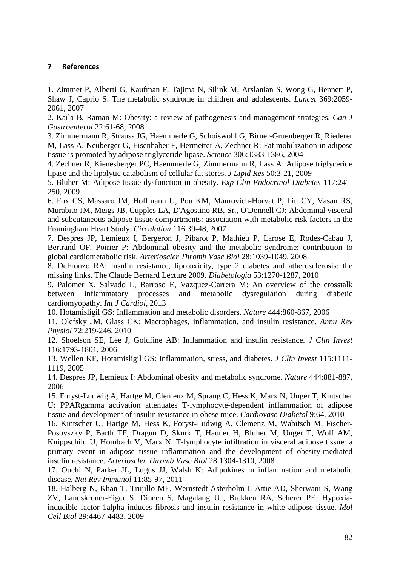### **7 References**

1. Zimmet P, Alberti G, Kaufman F, Tajima N, Silink M, Arslanian S, Wong G, Bennett P, Shaw J, Caprio S: The metabolic syndrome in children and adolescents. *Lancet* 369:2059- 2061, 2007

2. Kaila B, Raman M: Obesity: a review of pathogenesis and management strategies. *Can J Gastroenterol* 22:61-68, 2008

3. Zimmermann R, Strauss JG, Haemmerle G, Schoiswohl G, Birner-Gruenberger R, Riederer M, Lass A, Neuberger G, Eisenhaber F, Hermetter A, Zechner R: Fat mobilization in adipose tissue is promoted by adipose triglyceride lipase. *Science* 306:1383-1386, 2004

4. Zechner R, Kienesberger PC, Haemmerle G, Zimmermann R, Lass A: Adipose triglyceride lipase and the lipolytic catabolism of cellular fat stores. *J Lipid Res* 50:3-21, 2009

5. Bluher M: Adipose tissue dysfunction in obesity. *Exp Clin Endocrinol Diabetes* 117:241- 250, 2009

6. Fox CS, Massaro JM, Hoffmann U, Pou KM, Maurovich-Horvat P, Liu CY, Vasan RS, Murabito JM, Meigs JB, Cupples LA, D'Agostino RB, Sr., O'Donnell CJ: Abdominal visceral and subcutaneous adipose tissue compartments: association with metabolic risk factors in the Framingham Heart Study. *Circulation* 116:39-48, 2007

7. Despres JP, Lemieux I, Bergeron J, Pibarot P, Mathieu P, Larose E, Rodes-Cabau J, Bertrand OF, Poirier P: Abdominal obesity and the metabolic syndrome: contribution to global cardiometabolic risk. *Arterioscler Thromb Vasc Biol* 28:1039-1049, 2008

8. DeFronzo RA: Insulin resistance, lipotoxicity, type 2 diabetes and atherosclerosis: the missing links. The Claude Bernard Lecture 2009. *Diabetologia* 53:1270-1287, 2010

9. Palomer X, Salvado L, Barroso E, Vazquez-Carrera M: An overview of the crosstalk between inflammatory processes and metabolic dysregulation during diabetic cardiomyopathy. *Int J Cardiol*, 2013

10. Hotamisligil GS: Inflammation and metabolic disorders. *Nature* 444:860-867, 2006

11. Olefsky JM, Glass CK: Macrophages, inflammation, and insulin resistance. *Annu Rev Physiol* 72:219-246, 2010

12. Shoelson SE, Lee J, Goldfine AB: Inflammation and insulin resistance. *J Clin Invest* 116:1793-1801, 2006

13. Wellen KE, Hotamisligil GS: Inflammation, stress, and diabetes. *J Clin Invest* 115:1111- 1119, 2005

14. Despres JP, Lemieux I: Abdominal obesity and metabolic syndrome. *Nature* 444:881-887, 2006

15. Foryst-Ludwig A, Hartge M, Clemenz M, Sprang C, Hess K, Marx N, Unger T, Kintscher U: PPARgamma activation attenuates T-lymphocyte-dependent inflammation of adipose tissue and development of insulin resistance in obese mice. *Cardiovasc Diabetol* 9:64, 2010

16. Kintscher U, Hartge M, Hess K, Foryst-Ludwig A, Clemenz M, Wabitsch M, Fischer-Posovszky P, Barth TF, Dragun D, Skurk T, Hauner H, Bluher M, Unger T, Wolf AM, Knippschild U, Hombach V, Marx N: T-lymphocyte infiltration in visceral adipose tissue: a primary event in adipose tissue inflammation and the development of obesity-mediated insulin resistance. *Arterioscler Thromb Vasc Biol* 28:1304-1310, 2008

17. Ouchi N, Parker JL, Lugus JJ, Walsh K: Adipokines in inflammation and metabolic disease. *Nat Rev Immunol* 11:85-97, 2011

18. Halberg N, Khan T, Trujillo ME, Wernstedt-Asterholm I, Attie AD, Sherwani S, Wang ZV, Landskroner-Eiger S, Dineen S, Magalang UJ, Brekken RA, Scherer PE: Hypoxiainducible factor 1alpha induces fibrosis and insulin resistance in white adipose tissue. *Mol Cell Biol* 29:4467-4483, 2009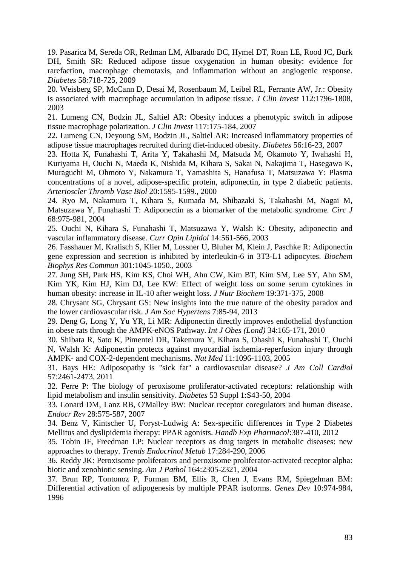19. Pasarica M, Sereda OR, Redman LM, Albarado DC, Hymel DT, Roan LE, Rood JC, Burk DH, Smith SR: Reduced adipose tissue oxygenation in human obesity: evidence for rarefaction, macrophage chemotaxis, and inflammation without an angiogenic response. *Diabetes* 58:718-725, 2009

20. Weisberg SP, McCann D, Desai M, Rosenbaum M, Leibel RL, Ferrante AW, Jr.: Obesity is associated with macrophage accumulation in adipose tissue. *J Clin Invest* 112:1796-1808, 2003

21. Lumeng CN, Bodzin JL, Saltiel AR: Obesity induces a phenotypic switch in adipose tissue macrophage polarization. *J Clin Invest* 117:175-184, 2007

22. Lumeng CN, Deyoung SM, Bodzin JL, Saltiel AR: Increased inflammatory properties of adipose tissue macrophages recruited during diet-induced obesity. *Diabetes* 56:16-23, 2007

23. Hotta K, Funahashi T, Arita Y, Takahashi M, Matsuda M, Okamoto Y, Iwahashi H, Kuriyama H, Ouchi N, Maeda K, Nishida M, Kihara S, Sakai N, Nakajima T, Hasegawa K, Muraguchi M, Ohmoto Y, Nakamura T, Yamashita S, Hanafusa T, Matsuzawa Y: Plasma concentrations of a novel, adipose-specific protein, adiponectin, in type 2 diabetic patients. *Arterioscler Thromb Vasc Biol* 20:1595-1599., 2000

24. Ryo M, Nakamura T, Kihara S, Kumada M, Shibazaki S, Takahashi M, Nagai M, Matsuzawa Y, Funahashi T: Adiponectin as a biomarker of the metabolic syndrome. *Circ J* 68:975-981, 2004

25. Ouchi N, Kihara S, Funahashi T, Matsuzawa Y, Walsh K: Obesity, adiponectin and vascular inflammatory disease. *Curr Opin Lipidol* 14:561-566, 2003

26. Fasshauer M, Kralisch S, Klier M, Lossner U, Bluher M, Klein J, Paschke R: Adiponectin gene expression and secretion is inhibited by interleukin-6 in 3T3-L1 adipocytes. *Biochem Biophys Res Commun* 301:1045-1050., 2003

27. Jung SH, Park HS, Kim KS, Choi WH, Ahn CW, Kim BT, Kim SM, Lee SY, Ahn SM, Kim YK, Kim HJ, Kim DJ, Lee KW: Effect of weight loss on some serum cytokines in human obesity: increase in IL-10 after weight loss. *J Nutr Biochem* 19:371-375, 2008

28. Chrysant SG, Chrysant GS: New insights into the true nature of the obesity paradox and the lower cardiovascular risk. *J Am Soc Hypertens* 7:85-94, 2013

29. Deng G, Long Y, Yu YR, Li MR: Adiponectin directly improves endothelial dysfunction in obese rats through the AMPK-eNOS Pathway. *Int J Obes (Lond)* 34:165-171, 2010

30. Shibata R, Sato K, Pimentel DR, Takemura Y, Kihara S, Ohashi K, Funahashi T, Ouchi N, Walsh K: Adiponectin protects against myocardial ischemia-reperfusion injury through AMPK- and COX-2-dependent mechanisms. *Nat Med* 11:1096-1103, 2005

31. Bays HE: Adiposopathy is "sick fat" a cardiovascular disease? *J Am Coll Cardiol* 57:2461-2473, 2011

32. Ferre P: The biology of peroxisome proliferator-activated receptors: relationship with lipid metabolism and insulin sensitivity. *Diabetes* 53 Suppl 1:S43-50, 2004

33. Lonard DM, Lanz RB, O'Malley BW: Nuclear receptor coregulators and human disease. *Endocr Rev* 28:575-587, 2007

34. Benz V, Kintscher U, Foryst-Ludwig A: Sex-specific differences in Type 2 Diabetes Mellitus and dyslipidemia therapy: PPAR agonists. *Handb Exp Pharmacol*:387-410, 2012

35. Tobin JF, Freedman LP: Nuclear receptors as drug targets in metabolic diseases: new approaches to therapy. *Trends Endocrinol Metab* 17:284-290, 2006

36. Reddy JK: Peroxisome proliferators and peroxisome proliferator-activated receptor alpha: biotic and xenobiotic sensing. *Am J Pathol* 164:2305-2321, 2004

37. Brun RP, Tontonoz P, Forman BM, Ellis R, Chen J, Evans RM, Spiegelman BM: Differential activation of adipogenesis by multiple PPAR isoforms. *Genes Dev* 10:974-984, 1996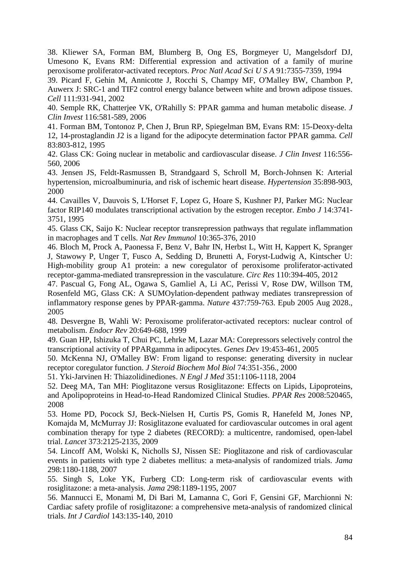38. Kliewer SA, Forman BM, Blumberg B, Ong ES, Borgmeyer U, Mangelsdorf DJ, Umesono K, Evans RM: Differential expression and activation of a family of murine peroxisome proliferator-activated receptors. *Proc Natl Acad Sci U S A* 91:7355-7359, 1994

39. Picard F, Gehin M, Annicotte J, Rocchi S, Champy MF, O'Malley BW, Chambon P, Auwerx J: SRC-1 and TIF2 control energy balance between white and brown adipose tissues. *Cell* 111:931-941, 2002

40. Semple RK, Chatterjee VK, O'Rahilly S: PPAR gamma and human metabolic disease. *J Clin Invest* 116:581-589, 2006

41. Forman BM, Tontonoz P, Chen J, Brun RP, Spiegelman BM, Evans RM: 15-Deoxy-delta 12, 14-prostaglandin J2 is a ligand for the adipocyte determination factor PPAR gamma. *Cell* 83:803-812, 1995

42. Glass CK: Going nuclear in metabolic and cardiovascular disease. *J Clin Invest* 116:556- 560, 2006

43. Jensen JS, Feldt-Rasmussen B, Strandgaard S, Schroll M, Borch-Johnsen K: Arterial hypertension, microalbuminuria, and risk of ischemic heart disease. *Hypertension* 35:898-903, 2000

44. Cavailles V, Dauvois S, L'Horset F, Lopez G, Hoare S, Kushner PJ, Parker MG: Nuclear factor RIP140 modulates transcriptional activation by the estrogen receptor. *Embo J* 14:3741- 3751, 1995

45. Glass CK, Saijo K: Nuclear receptor transrepression pathways that regulate inflammation in macrophages and T cells. *Nat Rev Immunol* 10:365-376, 2010

46. Bloch M, Prock A, Paonessa F, Benz V, Bahr IN, Herbst L, Witt H, Kappert K, Spranger J, Stawowy P, Unger T, Fusco A, Sedding D, Brunetti A, Foryst-Ludwig A, Kintscher U: High-mobility group A1 protein: a new coregulator of peroxisome proliferator-activated receptor-gamma-mediated transrepression in the vasculature. *Circ Res* 110:394-405, 2012

47. Pascual G, Fong AL, Ogawa S, Gamliel A, Li AC, Perissi V, Rose DW, Willson TM, Rosenfeld MG, Glass CK: A SUMOylation-dependent pathway mediates transrepression of inflammatory response genes by PPAR-gamma. *Nature* 437:759-763. Epub 2005 Aug 2028., 2005

48. Desvergne B, Wahli W: Peroxisome proliferator-activated receptors: nuclear control of metabolism. *Endocr Rev* 20:649-688, 1999

49. Guan HP, Ishizuka T, Chui PC, Lehrke M, Lazar MA: Corepressors selectively control the transcriptional activity of PPARgamma in adipocytes. *Genes Dev* 19:453-461, 2005

50. McKenna NJ, O'Malley BW: From ligand to response: generating diversity in nuclear receptor coregulator function. *J Steroid Biochem Mol Biol* 74:351-356., 2000

51. Yki-Jarvinen H: Thiazolidinediones. *N Engl J Med* 351:1106-1118, 2004

52. Deeg MA, Tan MH: Pioglitazone versus Rosiglitazone: Effects on Lipids, Lipoproteins, and Apolipoproteins in Head-to-Head Randomized Clinical Studies. *PPAR Res* 2008:520465, 2008

53. Home PD, Pocock SJ, Beck-Nielsen H, Curtis PS, Gomis R, Hanefeld M, Jones NP, Komajda M, McMurray JJ: Rosiglitazone evaluated for cardiovascular outcomes in oral agent combination therapy for type 2 diabetes (RECORD): a multicentre, randomised, open-label trial. *Lancet* 373:2125-2135, 2009

54. Lincoff AM, Wolski K, Nicholls SJ, Nissen SE: Pioglitazone and risk of cardiovascular events in patients with type 2 diabetes mellitus: a meta-analysis of randomized trials. *Jama* 298:1180-1188, 2007

55. Singh S, Loke YK, Furberg CD: Long-term risk of cardiovascular events with rosiglitazone: a meta-analysis. *Jama* 298:1189-1195, 2007

56. Mannucci E, Monami M, Di Bari M, Lamanna C, Gori F, Gensini GF, Marchionni N: Cardiac safety profile of rosiglitazone: a comprehensive meta-analysis of randomized clinical trials. *Int J Cardiol* 143:135-140, 2010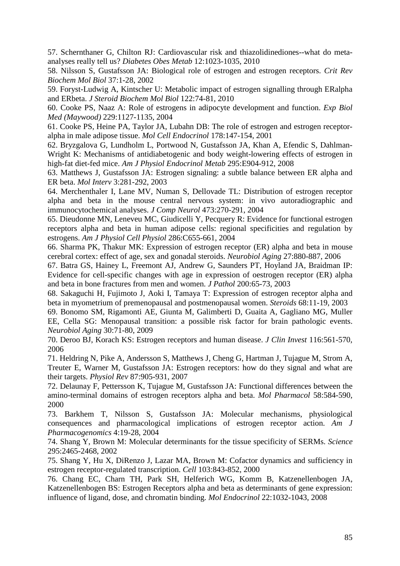57. Schernthaner G, Chilton RJ: Cardiovascular risk and thiazolidinediones--what do metaanalyses really tell us? *Diabetes Obes Metab* 12:1023-1035, 2010

58. Nilsson S, Gustafsson JA: Biological role of estrogen and estrogen receptors. *Crit Rev Biochem Mol Biol* 37:1-28, 2002

59. Foryst-Ludwig A, Kintscher U: Metabolic impact of estrogen signalling through ERalpha and ERbeta. *J Steroid Biochem Mol Biol* 122:74-81, 2010

60. Cooke PS, Naaz A: Role of estrogens in adipocyte development and function. *Exp Biol Med (Maywood)* 229:1127-1135, 2004

61. Cooke PS, Heine PA, Taylor JA, Lubahn DB: The role of estrogen and estrogen receptoralpha in male adipose tissue. *Mol Cell Endocrinol* 178:147-154, 2001

62. Bryzgalova G, Lundholm L, Portwood N, Gustafsson JA, Khan A, Efendic S, Dahlman-Wright K: Mechanisms of antidiabetogenic and body weight-lowering effects of estrogen in high-fat diet-fed mice. *Am J Physiol Endocrinol Metab* 295:E904-912, 2008

63. Matthews J, Gustafsson JA: Estrogen signaling: a subtle balance between ER alpha and ER beta. *Mol Interv* 3:281-292, 2003

64. Merchenthaler I, Lane MV, Numan S, Dellovade TL: Distribution of estrogen receptor alpha and beta in the mouse central nervous system: in vivo autoradiographic and immunocytochemical analyses. *J Comp Neurol* 473:270-291, 2004

65. Dieudonne MN, Leneveu MC, Giudicelli Y, Pecquery R: Evidence for functional estrogen receptors alpha and beta in human adipose cells: regional specificities and regulation by estrogens. *Am J Physiol Cell Physiol* 286:C655-661, 2004

66. Sharma PK, Thakur MK: Expression of estrogen receptor (ER) alpha and beta in mouse cerebral cortex: effect of age, sex and gonadal steroids. *Neurobiol Aging* 27:880-887, 2006

67. Batra GS, Hainey L, Freemont AJ, Andrew G, Saunders PT, Hoyland JA, Braidman IP: Evidence for cell-specific changes with age in expression of oestrogen receptor (ER) alpha and beta in bone fractures from men and women. *J Pathol* 200:65-73, 2003

68. Sakaguchi H, Fujimoto J, Aoki I, Tamaya T: Expression of estrogen receptor alpha and beta in myometrium of premenopausal and postmenopausal women. *Steroids* 68:11-19, 2003

69. Bonomo SM, Rigamonti AE, Giunta M, Galimberti D, Guaita A, Gagliano MG, Muller EE, Cella SG: Menopausal transition: a possible risk factor for brain pathologic events. *Neurobiol Aging* 30:71-80, 2009

70. Deroo BJ, Korach KS: Estrogen receptors and human disease. *J Clin Invest* 116:561-570, 2006

71. Heldring N, Pike A, Andersson S, Matthews J, Cheng G, Hartman J, Tujague M, Strom A, Treuter E, Warner M, Gustafsson JA: Estrogen receptors: how do they signal and what are their targets. *Physiol Rev* 87:905-931, 2007

72. Delaunay F, Pettersson K, Tujague M, Gustafsson JA: Functional differences between the amino-terminal domains of estrogen receptors alpha and beta. *Mol Pharmacol* 58:584-590, 2000

73. Barkhem T, Nilsson S, Gustafsson JA: Molecular mechanisms, physiological consequences and pharmacological implications of estrogen receptor action. *Am J Pharmacogenomics* 4:19-28, 2004

74. Shang Y, Brown M: Molecular determinants for the tissue specificity of SERMs. *Science* 295:2465-2468, 2002

75. Shang Y, Hu X, DiRenzo J, Lazar MA, Brown M: Cofactor dynamics and sufficiency in estrogen receptor-regulated transcription. *Cell* 103:843-852, 2000

76. Chang EC, Charn TH, Park SH, Helferich WG, Komm B, Katzenellenbogen JA, Katzenellenbogen BS: Estrogen Receptors alpha and beta as determinants of gene expression: influence of ligand, dose, and chromatin binding. *Mol Endocrinol* 22:1032-1043, 2008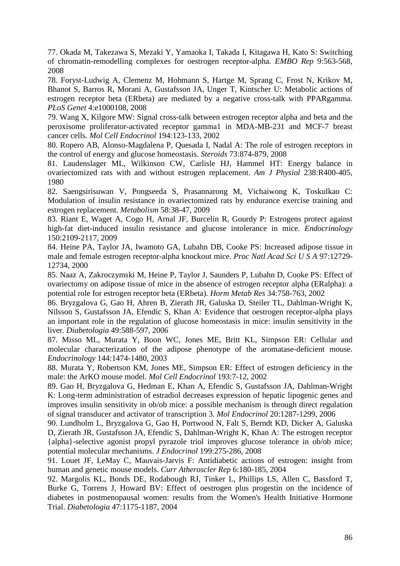77. Okada M, Takezawa S, Mezaki Y, Yamaoka I, Takada I, Kitagawa H, Kato S: Switching of chromatin-remodelling complexes for oestrogen receptor-alpha. *EMBO Rep* 9:563-568, 2008

78. Foryst-Ludwig A, Clemenz M, Hohmann S, Hartge M, Sprang C, Frost N, Krikov M, Bhanot S, Barros R, Morani A, Gustafsson JA, Unger T, Kintscher U: Metabolic actions of estrogen receptor beta (ERbeta) are mediated by a negative cross-talk with PPARgamma. *PLoS Genet* 4:e1000108, 2008

79. Wang X, Kilgore MW: Signal cross-talk between estrogen receptor alpha and beta and the peroxisome proliferator-activated receptor gamma1 in MDA-MB-231 and MCF-7 breast cancer cells. *Mol Cell Endocrinol* 194:123-133, 2002

80. Ropero AB, Alonso-Magdalena P, Quesada I, Nadal A: The role of estrogen receptors in the control of energy and glucose homeostasis. *Steroids* 73:874-879, 2008

81. Laudenslager ML, Wilkinson CW, Carlisle HJ, Hammel HT: Energy balance in ovariectomized rats with and without estrogen replacement. *Am J Physiol* 238:R400-405, 1980

82. Saengsirisuwan V, Pongseeda S, Prasannarong M, Vichaiwong K, Toskulkao C: Modulation of insulin resistance in ovariectomized rats by endurance exercise training and estrogen replacement. *Metabolism* 58:38-47, 2009

83. Riant E, Waget A, Cogo H, Arnal JF, Burcelin R, Gourdy P: Estrogens protect against high-fat diet-induced insulin resistance and glucose intolerance in mice. *Endocrinology* 150:2109-2117, 2009

84. Heine PA, Taylor JA, Iwamoto GA, Lubahn DB, Cooke PS: Increased adipose tissue in male and female estrogen receptor-alpha knockout mice. *Proc Natl Acad Sci U S A* 97:12729- 12734, 2000

85. Naaz A, Zakroczymski M, Heine P, Taylor J, Saunders P, Lubahn D, Cooke PS: Effect of ovariectomy on adipose tissue of mice in the absence of estrogen receptor alpha (ERalpha): a potential role for estrogen receptor beta (ERbeta). *Horm Metab Res* 34:758-763, 2002

86. Bryzgalova G, Gao H, Ahren B, Zierath JR, Galuska D, Steiler TL, Dahlman-Wright K, Nilsson S, Gustafsson JA, Efendic S, Khan A: Evidence that oestrogen receptor-alpha plays an important role in the regulation of glucose homeostasis in mice: insulin sensitivity in the liver. *Diabetologia* 49:588-597, 2006

87. Misso ML, Murata Y, Boon WC, Jones ME, Britt KL, Simpson ER: Cellular and molecular characterization of the adipose phenotype of the aromatase-deficient mouse. *Endocrinology* 144:1474-1480, 2003

88. Murata Y, Robertson KM, Jones ME, Simpson ER: Effect of estrogen deficiency in the male: the ArKO mouse model. *Mol Cell Endocrinol* 193:7-12, 2002

89. Gao H, Bryzgalova G, Hedman E, Khan A, Efendic S, Gustafsson JA, Dahlman-Wright K: Long-term administration of estradiol decreases expression of hepatic lipogenic genes and improves insulin sensitivity in ob/ob mice: a possible mechanism is through direct regulation of signal transducer and activator of transcription 3. *Mol Endocrinol* 20:1287-1299, 2006

90. Lundholm L, Bryzgalova G, Gao H, Portwood N, Falt S, Berndt KD, Dicker A, Galuska D, Zierath JR, Gustafsson JA, Efendic S, Dahlman-Wright K, Khan A: The estrogen receptor {alpha}-selective agonist propyl pyrazole triol improves glucose tolerance in ob/ob mice; potential molecular mechanisms. *J Endocrinol* 199:275-286, 2008

91. Louet JF, LeMay C, Mauvais-Jarvis F: Antidiabetic actions of estrogen: insight from human and genetic mouse models. *Curr Atheroscler Rep* 6:180-185, 2004

92. Margolis KL, Bonds DE, Rodabough RJ, Tinker L, Phillips LS, Allen C, Bassford T, Burke G, Torrens J, Howard BV: Effect of oestrogen plus progestin on the incidence of diabetes in postmenopausal women: results from the Women's Health Initiative Hormone Trial. *Diabetologia* 47:1175-1187, 2004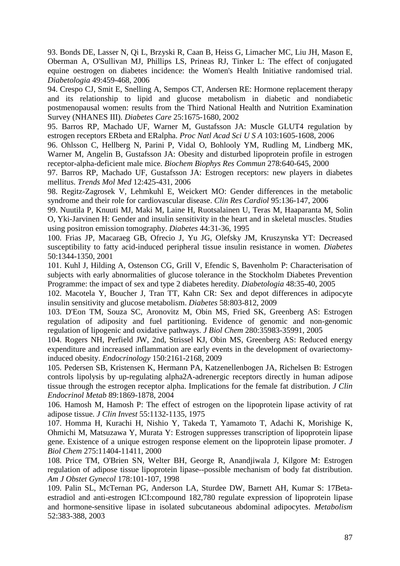93. Bonds DE, Lasser N, Qi L, Brzyski R, Caan B, Heiss G, Limacher MC, Liu JH, Mason E, Oberman A, O'Sullivan MJ, Phillips LS, Prineas RJ, Tinker L: The effect of conjugated equine oestrogen on diabetes incidence: the Women's Health Initiative randomised trial. *Diabetologia* 49:459-468, 2006

94. Crespo CJ, Smit E, Snelling A, Sempos CT, Andersen RE: Hormone replacement therapy and its relationship to lipid and glucose metabolism in diabetic and nondiabetic postmenopausal women: results from the Third National Health and Nutrition Examination Survey (NHANES III). *Diabetes Care* 25:1675-1680, 2002

95. Barros RP, Machado UF, Warner M, Gustafsson JA: Muscle GLUT4 regulation by estrogen receptors ERbeta and ERalpha. *Proc Natl Acad Sci U S A* 103:1605-1608, 2006

96. Ohlsson C, Hellberg N, Parini P, Vidal O, Bohlooly YM, Rudling M, Lindberg MK, Warner M, Angelin B, Gustafsson JA: Obesity and disturbed lipoprotein profile in estrogen receptor-alpha-deficient male mice. *Biochem Biophys Res Commun* 278:640-645, 2000

97. Barros RP, Machado UF, Gustafsson JA: Estrogen receptors: new players in diabetes mellitus. *Trends Mol Med* 12:425-431, 2006

98. Regitz-Zagrosek V, Lehmkuhl E, Weickert MO: Gender differences in the metabolic syndrome and their role for cardiovascular disease. *Clin Res Cardiol* 95:136-147, 2006

99. Nuutila P, Knuuti MJ, Maki M, Laine H, Ruotsalainen U, Teras M, Haaparanta M, Solin O, Yki-Jarvinen H: Gender and insulin sensitivity in the heart and in skeletal muscles. Studies using positron emission tomography. *Diabetes* 44:31-36, 1995

100. Frias JP, Macaraeg GB, Ofrecio J, Yu JG, Olefsky JM, Kruszynska YT: Decreased susceptibility to fatty acid-induced peripheral tissue insulin resistance in women. *Diabetes* 50:1344-1350, 2001

101. Kuhl J, Hilding A, Ostenson CG, Grill V, Efendic S, Bavenholm P: Characterisation of subjects with early abnormalities of glucose tolerance in the Stockholm Diabetes Prevention Programme: the impact of sex and type 2 diabetes heredity. *Diabetologia* 48:35-40, 2005

102. Macotela Y, Boucher J, Tran TT, Kahn CR: Sex and depot differences in adipocyte insulin sensitivity and glucose metabolism. *Diabetes* 58:803-812, 2009

103. D'Eon TM, Souza SC, Aronovitz M, Obin MS, Fried SK, Greenberg AS: Estrogen regulation of adiposity and fuel partitioning. Evidence of genomic and non-genomic regulation of lipogenic and oxidative pathways. *J Biol Chem* 280:35983-35991, 2005

104. Rogers NH, Perfield JW, 2nd, Strissel KJ, Obin MS, Greenberg AS: Reduced energy expenditure and increased inflammation are early events in the development of ovariectomyinduced obesity. *Endocrinology* 150:2161-2168, 2009

105. Pedersen SB, Kristensen K, Hermann PA, Katzenellenbogen JA, Richelsen B: Estrogen controls lipolysis by up-regulating alpha2A-adrenergic receptors directly in human adipose tissue through the estrogen receptor alpha. Implications for the female fat distribution. *J Clin Endocrinol Metab* 89:1869-1878, 2004

106. Hamosh M, Hamosh P: The effect of estrogen on the lipoprotein lipase activity of rat adipose tissue. *J Clin Invest* 55:1132-1135, 1975

107. Homma H, Kurachi H, Nishio Y, Takeda T, Yamamoto T, Adachi K, Morishige K, Ohmichi M, Matsuzawa Y, Murata Y: Estrogen suppresses transcription of lipoprotein lipase gene. Existence of a unique estrogen response element on the lipoprotein lipase promoter. *J Biol Chem* 275:11404-11411, 2000

108. Price TM, O'Brien SN, Welter BH, George R, Anandjiwala J, Kilgore M: Estrogen regulation of adipose tissue lipoprotein lipase--possible mechanism of body fat distribution. *Am J Obstet Gynecol* 178:101-107, 1998

109. Palin SL, McTernan PG, Anderson LA, Sturdee DW, Barnett AH, Kumar S: 17Betaestradiol and anti-estrogen ICI:compound 182,780 regulate expression of lipoprotein lipase and hormone-sensitive lipase in isolated subcutaneous abdominal adipocytes. *Metabolism* 52:383-388, 2003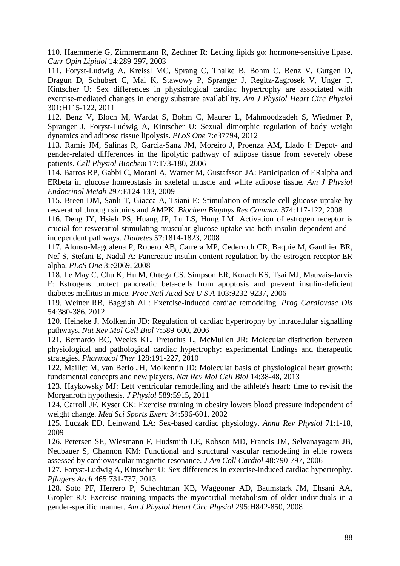110. Haemmerle G, Zimmermann R, Zechner R: Letting lipids go: hormone-sensitive lipase. *Curr Opin Lipidol* 14:289-297, 2003

111. Foryst-Ludwig A, Kreissl MC, Sprang C, Thalke B, Bohm C, Benz V, Gurgen D, Dragun D, Schubert C, Mai K, Stawowy P, Spranger J, Regitz-Zagrosek V, Unger T, Kintscher U: Sex differences in physiological cardiac hypertrophy are associated with exercise-mediated changes in energy substrate availability. *Am J Physiol Heart Circ Physiol* 301:H115-122, 2011

112. Benz V, Bloch M, Wardat S, Bohm C, Maurer L, Mahmoodzadeh S, Wiedmer P, Spranger J, Foryst-Ludwig A, Kintscher U: Sexual dimorphic regulation of body weight dynamics and adipose tissue lipolysis. *PLoS One* 7:e37794, 2012

113. Ramis JM, Salinas R, Garcia-Sanz JM, Moreiro J, Proenza AM, Llado I: Depot- and gender-related differences in the lipolytic pathway of adipose tissue from severely obese patients. *Cell Physiol Biochem* 17:173-180, 2006

114. Barros RP, Gabbi C, Morani A, Warner M, Gustafsson JA: Participation of ERalpha and ERbeta in glucose homeostasis in skeletal muscle and white adipose tissue. *Am J Physiol Endocrinol Metab* 297:E124-133, 2009

115. Breen DM, Sanli T, Giacca A, Tsiani E: Stimulation of muscle cell glucose uptake by resveratrol through sirtuins and AMPK. *Biochem Biophys Res Commun* 374:117-122, 2008

116. Deng JY, Hsieh PS, Huang JP, Lu LS, Hung LM: Activation of estrogen receptor is crucial for resveratrol-stimulating muscular glucose uptake via both insulin-dependent and independent pathways. *Diabetes* 57:1814-1823, 2008

117. Alonso-Magdalena P, Ropero AB, Carrera MP, Cederroth CR, Baquie M, Gauthier BR, Nef S, Stefani E, Nadal A: Pancreatic insulin content regulation by the estrogen receptor ER alpha. *PLoS One* 3:e2069, 2008

118. Le May C, Chu K, Hu M, Ortega CS, Simpson ER, Korach KS, Tsai MJ, Mauvais-Jarvis F: Estrogens protect pancreatic beta-cells from apoptosis and prevent insulin-deficient diabetes mellitus in mice. *Proc Natl Acad Sci U S A* 103:9232-9237, 2006

119. Weiner RB, Baggish AL: Exercise-induced cardiac remodeling. *Prog Cardiovasc Dis* 54:380-386, 2012

120. Heineke J, Molkentin JD: Regulation of cardiac hypertrophy by intracellular signalling pathways. *Nat Rev Mol Cell Biol* 7:589-600, 2006

121. Bernardo BC, Weeks KL, Pretorius L, McMullen JR: Molecular distinction between physiological and pathological cardiac hypertrophy: experimental findings and therapeutic strategies. *Pharmacol Ther* 128:191-227, 2010

122. Maillet M, van Berlo JH, Molkentin JD: Molecular basis of physiological heart growth: fundamental concepts and new players. *Nat Rev Mol Cell Biol* 14:38-48, 2013

123. Haykowsky MJ: Left ventricular remodelling and the athlete's heart: time to revisit the Morganroth hypothesis. *J Physiol* 589:5915, 2011

124. Carroll JF, Kyser CK: Exercise training in obesity lowers blood pressure independent of weight change. *Med Sci Sports Exerc* 34:596-601, 2002

125. Luczak ED, Leinwand LA: Sex-based cardiac physiology. *Annu Rev Physiol* 71:1-18, 2009

126. Petersen SE, Wiesmann F, Hudsmith LE, Robson MD, Francis JM, Selvanayagam JB, Neubauer S, Channon KM: Functional and structural vascular remodeling in elite rowers assessed by cardiovascular magnetic resonance. *J Am Coll Cardiol* 48:790-797, 2006

127. Foryst-Ludwig A, Kintscher U: Sex differences in exercise-induced cardiac hypertrophy. *Pflugers Arch* 465:731-737, 2013

128. Soto PF, Herrero P, Schechtman KB, Waggoner AD, Baumstark JM, Ehsani AA, Gropler RJ: Exercise training impacts the myocardial metabolism of older individuals in a gender-specific manner. *Am J Physiol Heart Circ Physiol* 295:H842-850, 2008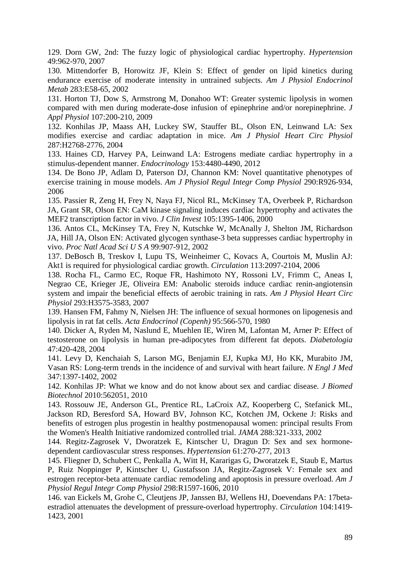129. Dorn GW, 2nd: The fuzzy logic of physiological cardiac hypertrophy. *Hypertension* 49:962-970, 2007

130. Mittendorfer B, Horowitz JF, Klein S: Effect of gender on lipid kinetics during endurance exercise of moderate intensity in untrained subjects. *Am J Physiol Endocrinol Metab* 283:E58-65, 2002

131. Horton TJ, Dow S, Armstrong M, Donahoo WT: Greater systemic lipolysis in women compared with men during moderate-dose infusion of epinephrine and/or norepinephrine. *J Appl Physiol* 107:200-210, 2009

132. Konhilas JP, Maass AH, Luckey SW, Stauffer BL, Olson EN, Leinwand LA: Sex modifies exercise and cardiac adaptation in mice. *Am J Physiol Heart Circ Physiol* 287:H2768-2776, 2004

133. Haines CD, Harvey PA, Leinwand LA: Estrogens mediate cardiac hypertrophy in a stimulus-dependent manner. *Endocrinology* 153:4480-4490, 2012

134. De Bono JP, Adlam D, Paterson DJ, Channon KM: Novel quantitative phenotypes of exercise training in mouse models. *Am J Physiol Regul Integr Comp Physiol* 290:R926-934, 2006

135. Passier R, Zeng H, Frey N, Naya FJ, Nicol RL, McKinsey TA, Overbeek P, Richardson JA, Grant SR, Olson EN: CaM kinase signaling induces cardiac hypertrophy and activates the MEF2 transcription factor in vivo. *J Clin Invest* 105:1395-1406, 2000

136. Antos CL, McKinsey TA, Frey N, Kutschke W, McAnally J, Shelton JM, Richardson JA, Hill JA, Olson EN: Activated glycogen synthase-3 beta suppresses cardiac hypertrophy in vivo. *Proc Natl Acad Sci U S A* 99:907-912, 2002

137. DeBosch B, Treskov I, Lupu TS, Weinheimer C, Kovacs A, Courtois M, Muslin AJ: Akt1 is required for physiological cardiac growth. *Circulation* 113:2097-2104, 2006

138. Rocha FL, Carmo EC, Roque FR, Hashimoto NY, Rossoni LV, Frimm C, Aneas I, Negrao CE, Krieger JE, Oliveira EM: Anabolic steroids induce cardiac renin-angiotensin system and impair the beneficial effects of aerobic training in rats. *Am J Physiol Heart Circ Physiol* 293:H3575-3583, 2007

139. Hansen FM, Fahmy N, Nielsen JH: The influence of sexual hormones on lipogenesis and lipolysis in rat fat cells. *Acta Endocrinol (Copenh)* 95:566-570, 1980

140. Dicker A, Ryden M, Naslund E, Muehlen IE, Wiren M, Lafontan M, Arner P: Effect of testosterone on lipolysis in human pre-adipocytes from different fat depots. *Diabetologia* 47:420-428, 2004

141. Levy D, Kenchaiah S, Larson MG, Benjamin EJ, Kupka MJ, Ho KK, Murabito JM, Vasan RS: Long-term trends in the incidence of and survival with heart failure. *N Engl J Med* 347:1397-1402, 2002

142. Konhilas JP: What we know and do not know about sex and cardiac disease. *J Biomed Biotechnol* 2010:562051, 2010

143. Rossouw JE, Anderson GL, Prentice RL, LaCroix AZ, Kooperberg C, Stefanick ML, Jackson RD, Beresford SA, Howard BV, Johnson KC, Kotchen JM, Ockene J: Risks and benefits of estrogen plus progestin in healthy postmenopausal women: principal results From the Women's Health Initiative randomized controlled trial. *JAMA* 288:321-333, 2002

144. Regitz-Zagrosek V, Dworatzek E, Kintscher U, Dragun D: Sex and sex hormonedependent cardiovascular stress responses. *Hypertension* 61:270-277, 2013

145. Fliegner D, Schubert C, Penkalla A, Witt H, Kararigas G, Dworatzek E, Staub E, Martus P, Ruiz Noppinger P, Kintscher U, Gustafsson JA, Regitz-Zagrosek V: Female sex and estrogen receptor-beta attenuate cardiac remodeling and apoptosis in pressure overload. *Am J Physiol Regul Integr Comp Physiol* 298:R1597-1606, 2010

146. van Eickels M, Grohe C, Cleutjens JP, Janssen BJ, Wellens HJ, Doevendans PA: 17betaestradiol attenuates the development of pressure-overload hypertrophy. *Circulation* 104:1419- 1423, 2001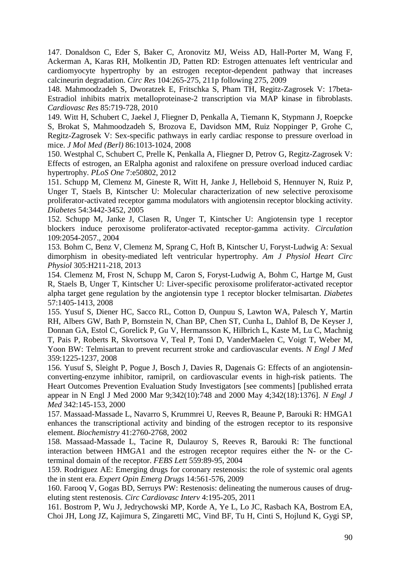147. Donaldson C, Eder S, Baker C, Aronovitz MJ, Weiss AD, Hall-Porter M, Wang F, Ackerman A, Karas RH, Molkentin JD, Patten RD: Estrogen attenuates left ventricular and cardiomyocyte hypertrophy by an estrogen receptor-dependent pathway that increases calcineurin degradation. *Circ Res* 104:265-275, 211p following 275, 2009

148. Mahmoodzadeh S, Dworatzek E, Fritschka S, Pham TH, Regitz-Zagrosek V: 17beta-Estradiol inhibits matrix metalloproteinase-2 transcription via MAP kinase in fibroblasts. *Cardiovasc Res* 85:719-728, 2010

149. Witt H, Schubert C, Jaekel J, Fliegner D, Penkalla A, Tiemann K, Stypmann J, Roepcke S, Brokat S, Mahmoodzadeh S, Brozova E, Davidson MM, Ruiz Noppinger P, Grohe C, Regitz-Zagrosek V: Sex-specific pathways in early cardiac response to pressure overload in mice. *J Mol Med (Berl)* 86:1013-1024, 2008

150. Westphal C, Schubert C, Prelle K, Penkalla A, Fliegner D, Petrov G, Regitz-Zagrosek V: Effects of estrogen, an ERalpha agonist and raloxifene on pressure overload induced cardiac hypertrophy. *PLoS One* 7:e50802, 2012

151. Schupp M, Clemenz M, Gineste R, Witt H, Janke J, Helleboid S, Hennuyer N, Ruiz P, Unger T, Staels B, Kintscher U: Molecular characterization of new selective peroxisome proliferator-activated receptor gamma modulators with angiotensin receptor blocking activity. *Diabetes* 54:3442-3452, 2005

152. Schupp M, Janke J, Clasen R, Unger T, Kintscher U: Angiotensin type 1 receptor blockers induce peroxisome proliferator-activated receptor-gamma activity. *Circulation* 109:2054-2057., 2004

153. Bohm C, Benz V, Clemenz M, Sprang C, Hoft B, Kintscher U, Foryst-Ludwig A: Sexual dimorphism in obesity-mediated left ventricular hypertrophy. *Am J Physiol Heart Circ Physiol* 305:H211-218, 2013

154. Clemenz M, Frost N, Schupp M, Caron S, Foryst-Ludwig A, Bohm C, Hartge M, Gust R, Staels B, Unger T, Kintscher U: Liver-specific peroxisome proliferator-activated receptor alpha target gene regulation by the angiotensin type 1 receptor blocker telmisartan. *Diabetes* 57:1405-1413, 2008

155. Yusuf S, Diener HC, Sacco RL, Cotton D, Ounpuu S, Lawton WA, Palesch Y, Martin RH, Albers GW, Bath P, Bornstein N, Chan BP, Chen ST, Cunha L, Dahlof B, De Keyser J, Donnan GA, Estol C, Gorelick P, Gu V, Hermansson K, Hilbrich L, Kaste M, Lu C, Machnig T, Pais P, Roberts R, Skvortsova V, Teal P, Toni D, VanderMaelen C, Voigt T, Weber M, Yoon BW: Telmisartan to prevent recurrent stroke and cardiovascular events. *N Engl J Med* 359:1225-1237, 2008

156. Yusuf S, Sleight P, Pogue J, Bosch J, Davies R, Dagenais G: Effects of an angiotensinconverting-enzyme inhibitor, ramipril, on cardiovascular events in high-risk patients. The Heart Outcomes Prevention Evaluation Study Investigators [see comments] [published errata appear in N Engl J Med 2000 Mar 9;342(10):748 and 2000 May 4;342(18):1376]. *N Engl J Med* 342:145-153, 2000

157. Massaad-Massade L, Navarro S, Krummrei U, Reeves R, Beaune P, Barouki R: HMGA1 enhances the transcriptional activity and binding of the estrogen receptor to its responsive element. *Biochemistry* 41:2760-2768, 2002

158. Massaad-Massade L, Tacine R, Dulauroy S, Reeves R, Barouki R: The functional interaction between HMGA1 and the estrogen receptor requires either the N- or the Cterminal domain of the receptor. *FEBS Lett* 559:89-95, 2004

159. Rodriguez AE: Emerging drugs for coronary restenosis: the role of systemic oral agents the in stent era. *Expert Opin Emerg Drugs* 14:561-576, 2009

160. Farooq V, Gogas BD, Serruys PW: Restenosis: delineating the numerous causes of drugeluting stent restenosis. *Circ Cardiovasc Interv* 4:195-205, 2011

161. Bostrom P, Wu J, Jedrychowski MP, Korde A, Ye L, Lo JC, Rasbach KA, Bostrom EA, Choi JH, Long JZ, Kajimura S, Zingaretti MC, Vind BF, Tu H, Cinti S, Hojlund K, Gygi SP,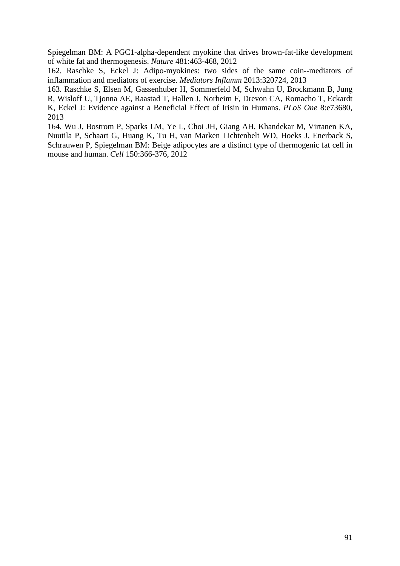Spiegelman BM: A PGC1-alpha-dependent myokine that drives brown-fat-like development of white fat and thermogenesis. *Nature* 481:463-468, 2012

162. Raschke S, Eckel J: Adipo-myokines: two sides of the same coin--mediators of inflammation and mediators of exercise. *Mediators Inflamm* 2013:320724, 2013

163. Raschke S, Elsen M, Gassenhuber H, Sommerfeld M, Schwahn U, Brockmann B, Jung R, Wisloff U, Tjonna AE, Raastad T, Hallen J, Norheim F, Drevon CA, Romacho T, Eckardt K, Eckel J: Evidence against a Beneficial Effect of Irisin in Humans. *PLoS One* 8:e73680, 2013

164. Wu J, Bostrom P, Sparks LM, Ye L, Choi JH, Giang AH, Khandekar M, Virtanen KA, Nuutila P, Schaart G, Huang K, Tu H, van Marken Lichtenbelt WD, Hoeks J, Enerback S, Schrauwen P, Spiegelman BM: Beige adipocytes are a distinct type of thermogenic fat cell in mouse and human. *Cell* 150:366-376, 2012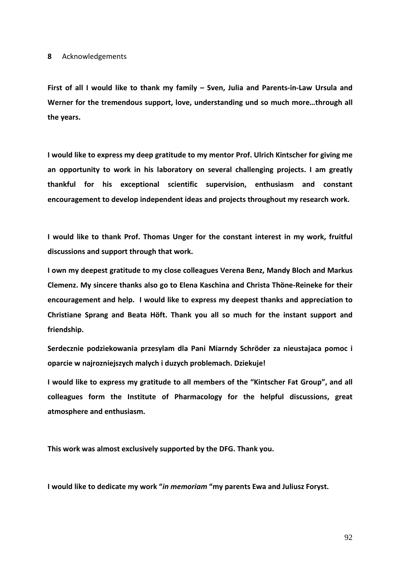**First of all I would like to thank my family – Sven, Julia and Parents-in-Law Ursula and Werner for the tremendous support, love, understanding und so much more…through all the years.** 

**I would like to express my deep gratitude to my mentor Prof. Ulrich Kintscher for giving me an opportunity to work in his laboratory on several challenging projects. I am greatly thankful for his exceptional scientific supervision, enthusiasm and constant encouragement to develop independent ideas and projects throughout my research work.** 

**I would like to thank Prof. Thomas Unger for the constant interest in my work, fruitful discussions and support through that work.** 

**I own my deepest gratitude to my close colleagues Verena Benz, Mandy Bloch and Markus Clemenz. My sincere thanks also go to Elena Kaschina and Christa Thöne-Reineke for their encouragement and help. I would like to express my deepest thanks and appreciation to Christiane Sprang and Beata Höft. Thank you all so much for the instant support and friendship.** 

**Serdecznie podziekowania przesylam dla Pani Miarndy Schröder za nieustajaca pomoc i oparcie w najrozniejszych malych i duzych problemach. Dziekuje!** 

**I would like to express my gratitude to all members of the "Kintscher Fat Group", and all colleagues form the Institute of Pharmacology for the helpful discussions, great atmosphere and enthusiasm.** 

**This work was almost exclusively supported by the DFG. Thank you.** 

**I would like to dedicate my work "***in memoriam* **"my parents Ewa and Juliusz Foryst.**